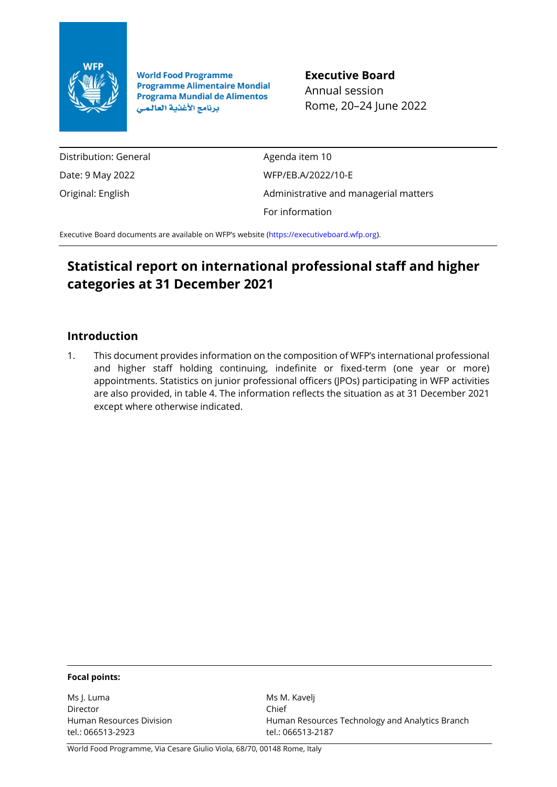

**World Food Programme Programme Alimentaire Mondial Programa Mundial de Alimentos** برنامج الأغذية العالمي

**Executive Board** Annual session Rome, 20–24 June 2022

Distribution: General Date: 9 May 2022 Original: English

Agenda item 10 WFP/EB.A/2022/10-E Administrative and managerial matters For information

Executive Board documents are available on WFP's website [\(https://executiveboard.wfp.org\)](https://executiveboard.wfp.org/).

# **Statistical report on international professional staff and higher categories at 31 December 2021**

# **Introduction**

1. This document provides information on the composition of WFP's international professional and higher staff holding continuing, indefinite or fixed-term (one year or more) appointments. Statistics on junior professional officers (JPOs) participating in WFP activities are also provided, in table 4. The information reflects the situation as at 31 December 2021 except where otherwise indicated.

#### **Focal points:**

Ms J. Luma Director Human Resources Division tel.: 066513-2923

Ms M. Kavelj Chief Human Resources Technology and Analytics Branch tel.: 066513-2187

World Food Programme, Via Cesare Giulio Viola, 68/70, 00148 Rome, Italy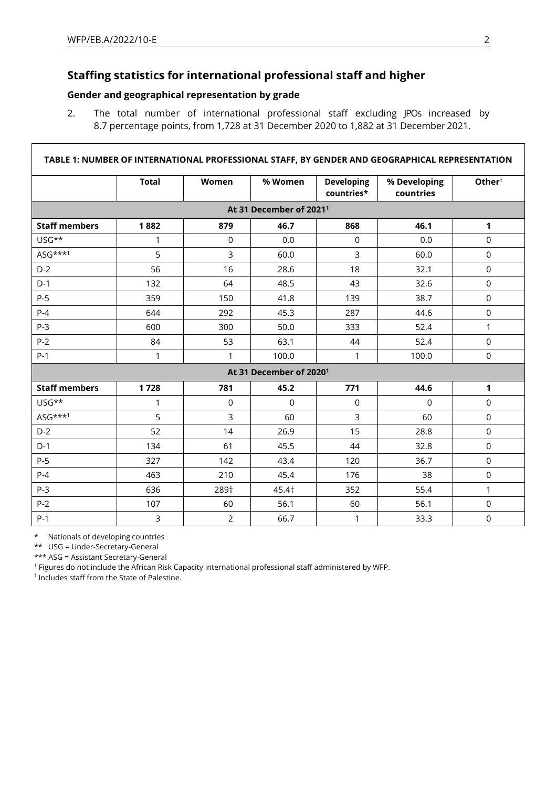# **Staffing statistics for international professional staff and higher**

### **Gender and geographical representation by grade**

2. The total number of international professional staff excluding JPOs increased by 8.7 percentage points, from 1,728 at 31 December 2020 to 1,882 at 31 December 2021.

|                      |              |                |                                     |                                 | TABLE 1: NUMBER OF INTERNATIONAL PROFESSIONAL STAFF, BY GENDER AND GEOGRAPHICAL REPRESENTATION |                    |
|----------------------|--------------|----------------|-------------------------------------|---------------------------------|------------------------------------------------------------------------------------------------|--------------------|
|                      | <b>Total</b> | Women          | % Women                             | <b>Developing</b><br>countries* | % Developing<br>countries                                                                      | Other <sup>t</sup> |
|                      |              |                | At 31 December of 2021 <sup>1</sup> |                                 |                                                                                                |                    |
| <b>Staff members</b> | 1882         | 879            | 46.7                                | 868                             | 46.1                                                                                           | 1                  |
| USG**                | 1            | $\mathsf 0$    | 0.0                                 | $\mathbf 0$                     | 0.0                                                                                            | $\mathsf 0$        |
| $ASG***1$            | 5            | $\overline{3}$ | 60.0                                | 3                               | 60.0                                                                                           | $\mathbf 0$        |
| $D-2$                | 56           | 16             | 28.6                                | 18                              | 32.1                                                                                           | $\mathbf 0$        |
| $D-1$                | 132          | 64             | 48.5                                | 43                              | 32.6                                                                                           | $\mathsf 0$        |
| $P-5$                | 359          | 150            | 41.8                                | 139                             | 38.7                                                                                           | $\mathbf 0$        |
| $P-4$                | 644          | 292            | 45.3                                | 287                             | 44.6                                                                                           | $\mathbf 0$        |
| $P-3$                | 600          | 300            | 50.0                                | 333                             | 52.4                                                                                           | 1                  |
| $P-2$                | 84           | 53             | 63.1                                | 44                              | 52.4                                                                                           | $\mathsf 0$        |
| $P-1$                | 1            | 1              | 100.0                               | 1                               | 100.0                                                                                          | $\mathsf 0$        |
|                      |              |                | At 31 December of 2020 <sup>1</sup> |                                 |                                                                                                |                    |
| <b>Staff members</b> | 1728         | 781            | 45.2                                | 771                             | 44.6                                                                                           | $\mathbf{1}$       |
| USG**                | 1            | 0              | $\mathbf 0$                         | 0                               | $\mathbf 0$                                                                                    | $\mathsf 0$        |
| ASG***1              | 5            | 3              | 60                                  | 3                               | 60                                                                                             | $\mathbf 0$        |
| $D-2$                | 52           | 14             | 26.9                                | 15                              | 28.8                                                                                           | $\mathbf 0$        |
| $D-1$                | 134          | 61             | 45.5                                | 44                              | 32.8                                                                                           | $\mathbf 0$        |
| $P-5$                | 327          | 142            | 43.4                                | 120                             | 36.7                                                                                           | $\mathbf 0$        |
| $P-4$                | 463          | 210            | 45.4                                | 176                             | 38                                                                                             | $\mathbf 0$        |
| $P-3$                | 636          | 289†           | 45.4†                               | 352                             | 55.4                                                                                           | 1                  |
| $P-2$                | 107          | 60             | 56.1                                | 60                              | 56.1                                                                                           | $\mathsf 0$        |
| $P-1$                | 3            | $\overline{2}$ | 66.7                                | 1                               | 33.3                                                                                           | $\mathsf 0$        |

\* Nationals of developing countries

\*\* USG = Under-Secretary-General

\*\*\* ASG = Assistant Secretary-General

<sup>1</sup> Figures do not include the African Risk Capacity international professional staff administered by WFP.

† Includes staff from the State of Palestine.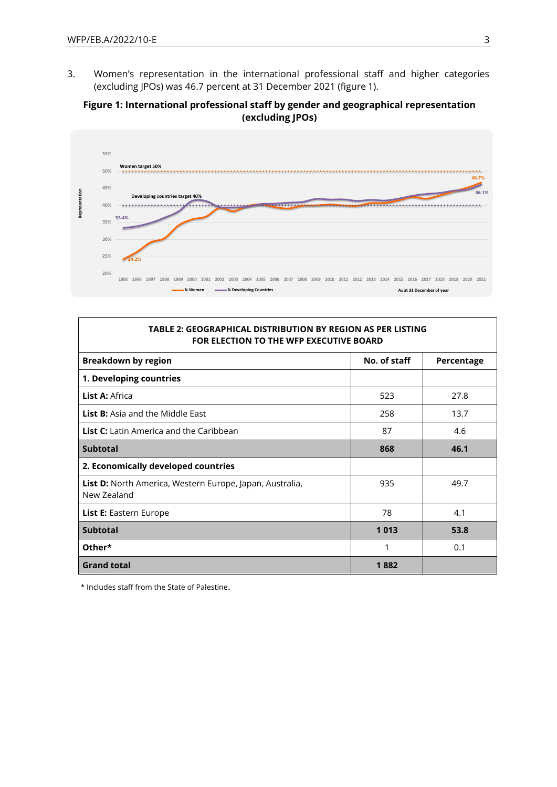3. Women's representation in the international professional staff and higher categories (excluding JPOs) was 46.7 percent at 31 December 2021 (figure 1).

#### **Figure 1: International professional staff by gender and geographical representation (excluding JPOs)**



#### **TABLE 2: GEOGRAPHICAL DISTRIBUTION BY REGION AS PER LISTING FOR ELECTION TO THE WFP EXECUTIVE BOARD**

| <b>Breakdown by region</b>                                                     | No. of staff | Percentage |
|--------------------------------------------------------------------------------|--------------|------------|
| 1. Developing countries                                                        |              |            |
| List A: Africa                                                                 | 523          | 27.8       |
| <b>List B:</b> Asia and the Middle East                                        | 258          | 13.7       |
| <b>List C:</b> Latin America and the Caribbean                                 | 87           | 4.6        |
| <b>Subtotal</b>                                                                | 868          | 46.1       |
| 2. Economically developed countries                                            |              |            |
| <b>List D:</b> North America, Western Europe, Japan, Australia,<br>New Zealand | 935          | 49.7       |
| <b>List E:</b> Eastern Europe                                                  | 78           | 4.1        |
| <b>Subtotal</b>                                                                | 1013         | 53.8       |
| Other*                                                                         | 1            | 0.1        |
| <b>Grand total</b>                                                             | 1882         |            |

\* Includes staff from the State of Palestine.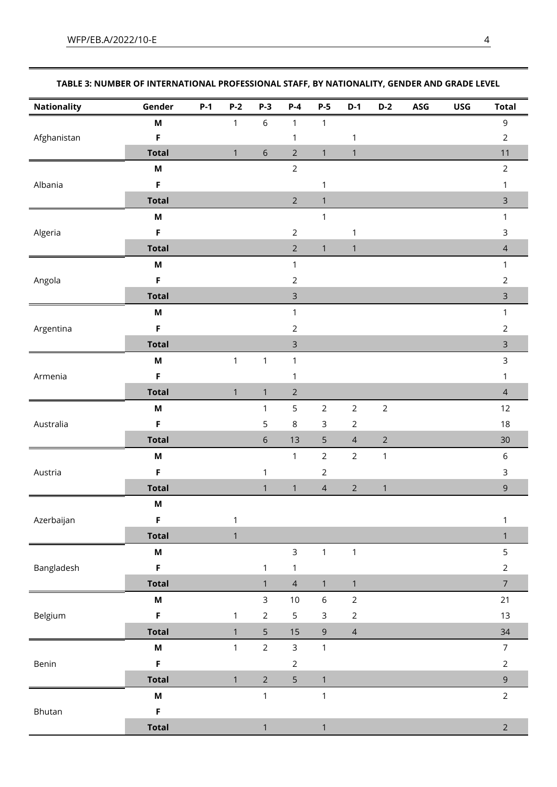| <b>Nationality</b> | Gender                    | $P-1$ | $P-2$        | $P-3$          | $P-4$          | $P-5$          | $D-1$          | $D-2$          | ASG | <b>USG</b> | <b>Total</b>   |
|--------------------|---------------------------|-------|--------------|----------------|----------------|----------------|----------------|----------------|-----|------------|----------------|
|                    | M                         |       | $\mathbf{1}$ | $\,$ 6 $\,$    | $\mathbf{1}$   | $\mathbf{1}$   |                |                |     |            | $\mathsf 9$    |
| Afghanistan        | $\mathsf F$               |       |              |                | 1              |                | $\mathbf{1}$   |                |     |            | $\overline{2}$ |
|                    | <b>Total</b>              |       | $\mathbf{1}$ | $\sqrt{6}$     | $\overline{2}$ | $\mathbf{1}$   | $\mathbf{1}$   |                |     |            | 11             |
|                    | $\boldsymbol{\mathsf{M}}$ |       |              |                | $\overline{2}$ |                |                |                |     |            | $\overline{2}$ |
| Albania            | F                         |       |              |                |                | $\mathbf 1$    |                |                |     |            | $\mathbf{1}$   |
|                    | <b>Total</b>              |       |              |                | $\overline{2}$ | $\mathbf{1}$   |                |                |     |            | $\mathsf{3}$   |
|                    | $\boldsymbol{\mathsf{M}}$ |       |              |                |                | $\mathbf{1}$   |                |                |     |            | $\mathbf{1}$   |
| Algeria            | F                         |       |              |                | $\overline{2}$ |                | $\mathbf{1}$   |                |     |            | $\mathsf 3$    |
|                    | <b>Total</b>              |       |              |                | $\overline{2}$ | $\mathbf{1}$   | $\mathbf{1}$   |                |     |            | $\overline{4}$ |
|                    | M                         |       |              |                | $\mathbf{1}$   |                |                |                |     |            | $\mathbf{1}$   |
| Angola             | F                         |       |              |                | $\overline{2}$ |                |                |                |     |            | $\overline{2}$ |
|                    | <b>Total</b>              |       |              |                | $\mathsf{3}$   |                |                |                |     |            | $\mathsf{3}$   |
|                    | M                         |       |              |                | $\mathbf{1}$   |                |                |                |     |            | $\mathbf{1}$   |
| Argentina          | F                         |       |              |                | $\sqrt{2}$     |                |                |                |     |            | $\overline{2}$ |
|                    | <b>Total</b>              |       |              |                | $\mathsf{3}$   |                |                |                |     |            | $\mathsf{3}$   |
|                    | M                         |       | $\mathbf{1}$ | $\mathbf{1}$   | $\mathbf{1}$   |                |                |                |     |            | 3              |
| Armenia            | F                         |       |              |                | 1              |                |                |                |     |            | $\mathbf{1}$   |
|                    | <b>Total</b>              |       | $\mathbf{1}$ | $\mathbf{1}$   | $\overline{2}$ |                |                |                |     |            | $\overline{4}$ |
| Australia          | M                         |       |              | $\mathbf{1}$   | $\mathsf S$    | $\mathbf 2$    | $\mathbf 2$    | $\sqrt{2}$     |     |            | $12$           |
|                    | $\mathsf F$               |       |              | $\mathsf S$    | $\,8\,$        | $\mathsf 3$    | $\overline{2}$ |                |     |            | $18\,$         |
|                    | <b>Total</b>              |       |              | $\,$ 6 $\,$    | 13             | 5              | $\overline{4}$ | $\overline{2}$ |     |            | 30             |
|                    | $\boldsymbol{\mathsf{M}}$ |       |              |                | $\mathbf{1}$   | $\mathbf 2$    | $\overline{2}$ | $\mathbf{1}$   |     |            | $\,$ 6 $\,$    |
| Austria            | F                         |       |              | 1              |                | $\overline{2}$ |                |                |     |            | $\mathsf 3$    |
|                    | <b>Total</b>              |       |              | $\mathbf{1}$   | $\mathbf{1}$   | $\overline{4}$ | $\sqrt{2}$     | $\mathbf{1}$   |     |            | $\mathsf 9$    |
|                    | $\boldsymbol{\mathsf{M}}$ |       |              |                |                |                |                |                |     |            |                |
| Azerbaijan         | $\mathsf F$               |       | $\mathbf{1}$ |                |                |                |                |                |     |            | $\mathbf{1}$   |
|                    | <b>Total</b>              |       | $\mathbf{1}$ |                |                |                |                |                |     |            | $\mathbf{1}$   |
|                    | $\boldsymbol{\mathsf{M}}$ |       |              |                | 3              | $\mathbf{1}$   | $\mathbf{1}$   |                |     |            | 5              |
| Bangladesh         | $\mathsf F$               |       |              | $\mathbf{1}$   | $\mathbf{1}$   |                |                |                |     |            | $\overline{2}$ |
|                    | <b>Total</b>              |       |              | $\mathbf{1}$   | $\overline{4}$ | $\mathbf{1}$   | $\mathbf{1}$   |                |     |            | $\overline{7}$ |
|                    | $\boldsymbol{\mathsf{M}}$ |       |              | $\mathsf{3}$   | $10$           | $\,$ 6 $\,$    | $\overline{2}$ |                |     |            | 21             |
| Belgium            | $\mathsf F$               |       | $\mathbf{1}$ | $\overline{2}$ | 5              | $\mathsf{3}$   | $\sqrt{2}$     |                |     |            | 13             |
|                    | <b>Total</b>              |       | $\mathbf{1}$ | 5              | 15             | $\mathsf 9$    | $\overline{4}$ |                |     |            | 34             |
|                    | $\boldsymbol{\mathsf{M}}$ |       | $\mathbf{1}$ | $\overline{2}$ | $\mathsf{3}$   | $\mathbf{1}$   |                |                |     |            | $\overline{7}$ |
| Benin              | $\mathsf F$               |       |              |                | $\overline{2}$ |                |                |                |     |            | $\overline{2}$ |
|                    | <b>Total</b>              |       | $\mathbf{1}$ | $\overline{2}$ | 5              | $\mathbf{1}$   |                |                |     |            | $\mathsf 9$    |
|                    | $\boldsymbol{\mathsf{M}}$ |       |              | $\mathbf{1}$   |                | $\mathbf{1}$   |                |                |     |            | $\overline{2}$ |
| Bhutan             | $\mathsf F$               |       |              |                |                |                |                |                |     |            |                |
|                    | <b>Total</b>              |       |              | $\mathbf{1}$   |                | $\mathbf{1}$   |                |                |     |            | $\overline{2}$ |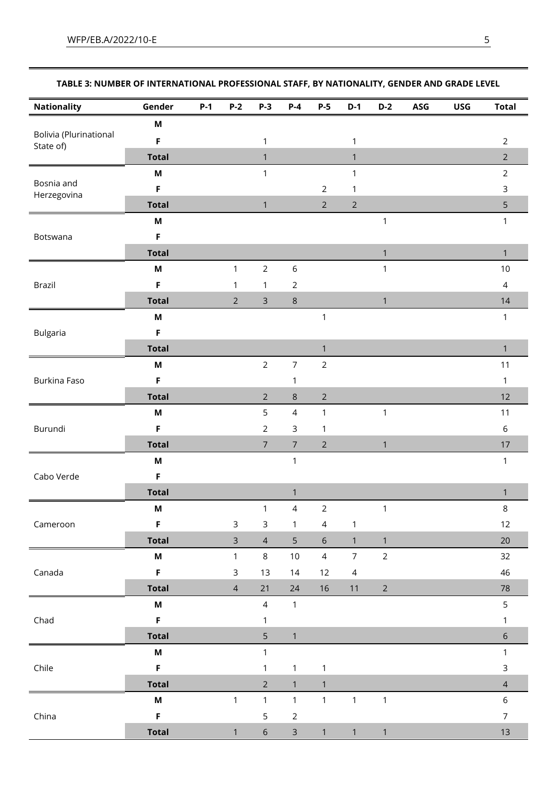| Nationality                         | Gender                    | P-1 | P-2            | P-3            | P-4                                                                                                                                                                                                                                                                                                                                                                                                                                                                                                                                                                                                                                                                                                                                                                                                                                                                                                                                                                                    | P-5            | D-1          | $D - 2$ | ASG | <b>USG</b> | Total          |
|-------------------------------------|---------------------------|-----|----------------|----------------|----------------------------------------------------------------------------------------------------------------------------------------------------------------------------------------------------------------------------------------------------------------------------------------------------------------------------------------------------------------------------------------------------------------------------------------------------------------------------------------------------------------------------------------------------------------------------------------------------------------------------------------------------------------------------------------------------------------------------------------------------------------------------------------------------------------------------------------------------------------------------------------------------------------------------------------------------------------------------------------|----------------|--------------|---------|-----|------------|----------------|
|                                     | M                         |     |                |                |                                                                                                                                                                                                                                                                                                                                                                                                                                                                                                                                                                                                                                                                                                                                                                                                                                                                                                                                                                                        |                |              |         |     |            |                |
| Bolivia (Plurinational<br>State of) | F                         |     |                | $\mathbf{1}$   |                                                                                                                                                                                                                                                                                                                                                                                                                                                                                                                                                                                                                                                                                                                                                                                                                                                                                                                                                                                        |                | $\mathbf{1}$ |         |     |            | $\overline{2}$ |
|                                     | <b>Total</b>              |     |                | $\mathbf{1}$   |                                                                                                                                                                                                                                                                                                                                                                                                                                                                                                                                                                                                                                                                                                                                                                                                                                                                                                                                                                                        |                | $\mathbf{1}$ |         |     |            | $\overline{2}$ |
|                                     | $\boldsymbol{\mathsf{M}}$ |     |                | $\mathbf{1}$   | $\mathbf{1}$<br>$\overline{2}$<br>$\mathbf{1}$<br>$\overline{2}$<br>$\overline{2}$<br>$\mathbf{1}$<br>$\mathbf{1}$<br>$\,$ 6 $\,$<br>$\mathbf{1}$<br>$\sqrt{2}$<br>$\,8\,$<br>$\mathbf{1}$<br>$\mathbf{1}$<br>$\mathbf{1}$<br>$\overline{7}$<br>$\overline{2}$<br>1<br>$\,8\,$<br>$\overline{2}$<br>$\overline{4}$<br>$\mathbf{1}$<br>$\mathbf{1}$<br>$\mathsf 3$<br>$\mathbf{1}$<br>$\overline{7}$<br>$\overline{2}$<br>$\mathbf{1}$<br>$\mathbf{1}$<br>$\mathbf{1}$<br>$\overline{2}$<br>$\overline{4}$<br>$\mathbf{1}$<br>$1 \qquad 4$<br>1<br>5 <sup>1</sup><br>$6\,$<br>$\mathbf{1}$<br>$\mathbf{1}$<br>$\overline{4}$<br>$\overline{7}$<br>$\overline{2}$<br>$10\,$<br>14<br>12<br>$\overline{4}$<br>$\overline{2}$<br>$16\,$<br>$11$<br>24<br>$\mathbf{1}$<br>$\mathbf{1}$<br>$\mathbf{1}$<br>1<br>$\mathbf{1}$<br>$\mathbf{1}$<br>$\overline{1}$<br>$\mathbf{1}$<br>$\mathbf{1}$<br>$\mathbf{1}$<br>$\sqrt{2}$<br>$\mathsf{3}$<br>$\mathbf{1}$<br>$\mathbf{1}$<br>$\mathbf{1}$ | $\overline{2}$ |              |         |     |            |                |
| Bosnia and<br>Herzegovina           | F                         |     |                |                |                                                                                                                                                                                                                                                                                                                                                                                                                                                                                                                                                                                                                                                                                                                                                                                                                                                                                                                                                                                        |                |              |         |     |            | 3              |
|                                     | <b>Total</b>              |     |                | $\mathbf{1}$   |                                                                                                                                                                                                                                                                                                                                                                                                                                                                                                                                                                                                                                                                                                                                                                                                                                                                                                                                                                                        |                |              |         |     |            | 5              |
|                                     | $\boldsymbol{\mathsf{M}}$ |     |                |                |                                                                                                                                                                                                                                                                                                                                                                                                                                                                                                                                                                                                                                                                                                                                                                                                                                                                                                                                                                                        |                |              |         |     |            | $\mathbf{1}$   |
| Botswana                            | F                         |     |                |                |                                                                                                                                                                                                                                                                                                                                                                                                                                                                                                                                                                                                                                                                                                                                                                                                                                                                                                                                                                                        |                |              |         |     |            |                |
|                                     | <b>Total</b>              |     |                |                |                                                                                                                                                                                                                                                                                                                                                                                                                                                                                                                                                                                                                                                                                                                                                                                                                                                                                                                                                                                        |                |              |         |     |            | $\mathbf{1}$   |
|                                     | M                         |     | $\mathbf{1}$   | $\overline{2}$ |                                                                                                                                                                                                                                                                                                                                                                                                                                                                                                                                                                                                                                                                                                                                                                                                                                                                                                                                                                                        |                |              |         |     |            | $10$           |
| Brazil                              | F                         |     | 1              | $\mathbf{1}$   |                                                                                                                                                                                                                                                                                                                                                                                                                                                                                                                                                                                                                                                                                                                                                                                                                                                                                                                                                                                        |                |              |         |     |            | $\overline{4}$ |
|                                     | <b>Total</b>              |     | $2^{\circ}$    | $\overline{3}$ |                                                                                                                                                                                                                                                                                                                                                                                                                                                                                                                                                                                                                                                                                                                                                                                                                                                                                                                                                                                        |                |              |         |     |            | 14             |
|                                     | $\boldsymbol{\mathsf{M}}$ |     |                |                |                                                                                                                                                                                                                                                                                                                                                                                                                                                                                                                                                                                                                                                                                                                                                                                                                                                                                                                                                                                        |                |              |         |     |            | $\mathbf{1}$   |
| <b>Bulgaria</b>                     | F                         |     |                |                |                                                                                                                                                                                                                                                                                                                                                                                                                                                                                                                                                                                                                                                                                                                                                                                                                                                                                                                                                                                        |                |              |         |     |            |                |
|                                     | <b>Total</b>              |     |                |                |                                                                                                                                                                                                                                                                                                                                                                                                                                                                                                                                                                                                                                                                                                                                                                                                                                                                                                                                                                                        |                |              |         |     |            | $\mathbf{1}$   |
|                                     | M                         |     |                | $\overline{2}$ |                                                                                                                                                                                                                                                                                                                                                                                                                                                                                                                                                                                                                                                                                                                                                                                                                                                                                                                                                                                        |                |              |         |     |            | 11             |
| Burkina Faso                        | F                         |     |                |                |                                                                                                                                                                                                                                                                                                                                                                                                                                                                                                                                                                                                                                                                                                                                                                                                                                                                                                                                                                                        |                |              |         |     |            | $\mathbf{1}$   |
|                                     | <b>Total</b>              |     |                | $\overline{2}$ |                                                                                                                                                                                                                                                                                                                                                                                                                                                                                                                                                                                                                                                                                                                                                                                                                                                                                                                                                                                        |                |              |         |     |            | 12             |
|                                     | M                         |     |                | 5              |                                                                                                                                                                                                                                                                                                                                                                                                                                                                                                                                                                                                                                                                                                                                                                                                                                                                                                                                                                                        |                |              |         |     |            | 11             |
| Burundi                             | F                         |     |                | $\overline{2}$ |                                                                                                                                                                                                                                                                                                                                                                                                                                                                                                                                                                                                                                                                                                                                                                                                                                                                                                                                                                                        |                |              |         |     |            | 6              |
|                                     | <b>Total</b>              |     |                | $\overline{7}$ |                                                                                                                                                                                                                                                                                                                                                                                                                                                                                                                                                                                                                                                                                                                                                                                                                                                                                                                                                                                        |                |              |         |     |            | 17             |
|                                     | M                         |     |                |                |                                                                                                                                                                                                                                                                                                                                                                                                                                                                                                                                                                                                                                                                                                                                                                                                                                                                                                                                                                                        |                |              |         |     |            | $\mathbf{1}$   |
| Cabo Verde                          | F                         |     |                |                |                                                                                                                                                                                                                                                                                                                                                                                                                                                                                                                                                                                                                                                                                                                                                                                                                                                                                                                                                                                        |                |              |         |     |            |                |
|                                     | <b>Total</b>              |     |                |                |                                                                                                                                                                                                                                                                                                                                                                                                                                                                                                                                                                                                                                                                                                                                                                                                                                                                                                                                                                                        |                |              |         |     |            | $\mathbf{1}$   |
|                                     | $\boldsymbol{\mathsf{M}}$ |     |                | $\mathbf{1}$   |                                                                                                                                                                                                                                                                                                                                                                                                                                                                                                                                                                                                                                                                                                                                                                                                                                                                                                                                                                                        |                |              |         |     |            | 8              |
| Cameroon                            | $\mathsf F$               |     | $\mathsf{3}$   | $\mathbf{3}$   |                                                                                                                                                                                                                                                                                                                                                                                                                                                                                                                                                                                                                                                                                                                                                                                                                                                                                                                                                                                        |                |              |         |     |            | 12             |
|                                     | <b>Total</b>              |     | $\overline{3}$ | $\overline{4}$ |                                                                                                                                                                                                                                                                                                                                                                                                                                                                                                                                                                                                                                                                                                                                                                                                                                                                                                                                                                                        |                |              |         |     |            | 20             |
|                                     | M                         |     | $\mathbf{1}$   | 8              |                                                                                                                                                                                                                                                                                                                                                                                                                                                                                                                                                                                                                                                                                                                                                                                                                                                                                                                                                                                        |                |              |         |     |            | 32             |
| Canada                              | $\mathsf F$               |     | 3              | 13             |                                                                                                                                                                                                                                                                                                                                                                                                                                                                                                                                                                                                                                                                                                                                                                                                                                                                                                                                                                                        |                |              |         |     |            | 46             |
|                                     | <b>Total</b>              |     | $\overline{4}$ | 21             |                                                                                                                                                                                                                                                                                                                                                                                                                                                                                                                                                                                                                                                                                                                                                                                                                                                                                                                                                                                        |                |              |         |     |            | $78\,$         |
|                                     | M                         |     |                | $\overline{4}$ |                                                                                                                                                                                                                                                                                                                                                                                                                                                                                                                                                                                                                                                                                                                                                                                                                                                                                                                                                                                        |                |              |         |     |            | 5              |
| Chad                                | $\mathsf F$               |     |                | $\mathbf{1}$   |                                                                                                                                                                                                                                                                                                                                                                                                                                                                                                                                                                                                                                                                                                                                                                                                                                                                                                                                                                                        |                |              |         |     |            | $\mathbf{1}$   |
|                                     | <b>Total</b>              |     |                | 5              |                                                                                                                                                                                                                                                                                                                                                                                                                                                                                                                                                                                                                                                                                                                                                                                                                                                                                                                                                                                        |                |              |         |     |            | $\overline{6}$ |
|                                     | $\boldsymbol{\mathsf{M}}$ |     |                | $\mathbf{1}$   |                                                                                                                                                                                                                                                                                                                                                                                                                                                                                                                                                                                                                                                                                                                                                                                                                                                                                                                                                                                        |                |              |         |     |            | $\mathbf{1}$   |
| Chile                               | $\mathsf F$               |     |                | 1              |                                                                                                                                                                                                                                                                                                                                                                                                                                                                                                                                                                                                                                                                                                                                                                                                                                                                                                                                                                                        |                |              |         |     |            | 3              |
|                                     | <b>Total</b>              |     |                | $\overline{2}$ |                                                                                                                                                                                                                                                                                                                                                                                                                                                                                                                                                                                                                                                                                                                                                                                                                                                                                                                                                                                        |                |              |         |     |            | $\overline{4}$ |
|                                     | M                         |     | $\mathbf{1}$   | $\mathbf{1}$   |                                                                                                                                                                                                                                                                                                                                                                                                                                                                                                                                                                                                                                                                                                                                                                                                                                                                                                                                                                                        |                |              |         |     |            | $\sqrt{6}$     |
| China                               | $\mathsf F$               |     |                | 5              |                                                                                                                                                                                                                                                                                                                                                                                                                                                                                                                                                                                                                                                                                                                                                                                                                                                                                                                                                                                        |                |              |         |     |            | $\overline{7}$ |
|                                     | <b>Total</b>              |     | $\mathbf{1}$   | $\sqrt{6}$     |                                                                                                                                                                                                                                                                                                                                                                                                                                                                                                                                                                                                                                                                                                                                                                                                                                                                                                                                                                                        |                |              |         |     |            | 13             |

-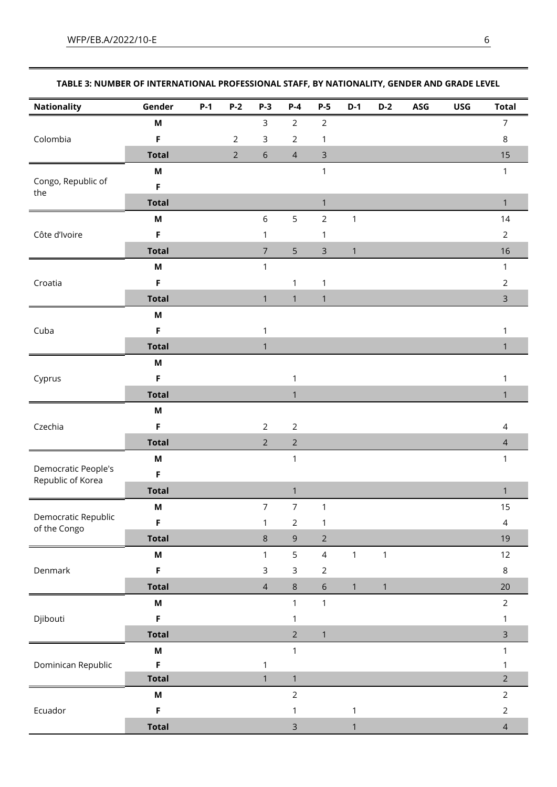| <b>Nationality</b>                       | Gender                    | $P-1$ | $P-2$                                                                                                                                                                                                                                                                                                                                                                                                                                                                                                                                                                                                                                                                 | $P-3$          | $P-4$          | $P-5$          | $D-1$        | $D-2$ | ASG | <b>USG</b> | <b>Total</b>   |
|------------------------------------------|---------------------------|-------|-----------------------------------------------------------------------------------------------------------------------------------------------------------------------------------------------------------------------------------------------------------------------------------------------------------------------------------------------------------------------------------------------------------------------------------------------------------------------------------------------------------------------------------------------------------------------------------------------------------------------------------------------------------------------|----------------|----------------|----------------|--------------|-------|-----|------------|----------------|
|                                          | M                         |       |                                                                                                                                                                                                                                                                                                                                                                                                                                                                                                                                                                                                                                                                       |                |                |                |              |       |     |            | $\overline{7}$ |
| Colombia                                 | F                         |       | $\overline{2}$                                                                                                                                                                                                                                                                                                                                                                                                                                                                                                                                                                                                                                                        | $\mathsf{3}$   |                | $\mathbf{1}$   |              |       |     |            | $\,8\,$        |
|                                          | <b>Total</b>              |       | $\sqrt{2}$                                                                                                                                                                                                                                                                                                                                                                                                                                                                                                                                                                                                                                                            | $\sqrt{6}$     | $\overline{4}$ | 3              |              |       |     |            | 15             |
|                                          | M                         |       |                                                                                                                                                                                                                                                                                                                                                                                                                                                                                                                                                                                                                                                                       |                |                | $\mathbf{1}$   |              |       |     |            | $\mathbf{1}$   |
| Congo, Republic of                       | F                         |       |                                                                                                                                                                                                                                                                                                                                                                                                                                                                                                                                                                                                                                                                       |                |                |                |              |       |     |            |                |
| the                                      | <b>Total</b>              |       |                                                                                                                                                                                                                                                                                                                                                                                                                                                                                                                                                                                                                                                                       |                |                | $\mathbf{1}$   |              |       |     |            | $\mathbf{1}$   |
|                                          | M                         |       |                                                                                                                                                                                                                                                                                                                                                                                                                                                                                                                                                                                                                                                                       | $\,$ 6 $\,$    | 5              | $\overline{2}$ | $\mathbf 1$  |       |     |            | 14             |
| Côte d'Ivoire                            | F                         |       |                                                                                                                                                                                                                                                                                                                                                                                                                                                                                                                                                                                                                                                                       | 1              |                | 1              |              |       |     |            | $\overline{2}$ |
|                                          | <b>Total</b>              |       |                                                                                                                                                                                                                                                                                                                                                                                                                                                                                                                                                                                                                                                                       | $\overline{7}$ | 5              | $\mathsf{3}$   | $\mathbf 1$  |       |     |            | 16             |
|                                          | M                         |       |                                                                                                                                                                                                                                                                                                                                                                                                                                                                                                                                                                                                                                                                       | $\mathbf{1}$   |                |                |              |       |     |            | 1              |
| Croatia                                  | $\mathsf F$               |       |                                                                                                                                                                                                                                                                                                                                                                                                                                                                                                                                                                                                                                                                       |                | $\mathbf{1}$   | $\mathbf 1$    |              |       |     |            | $\overline{2}$ |
|                                          | <b>Total</b>              |       |                                                                                                                                                                                                                                                                                                                                                                                                                                                                                                                                                                                                                                                                       | $\mathbf{1}$   | $\mathbf{1}$   | $\mathbf{1}$   |              |       |     |            | $\mathsf{3}$   |
|                                          | $\boldsymbol{\mathsf{M}}$ |       |                                                                                                                                                                                                                                                                                                                                                                                                                                                                                                                                                                                                                                                                       |                |                |                |              |       |     |            |                |
| Cuba                                     | $\mathsf F$               |       |                                                                                                                                                                                                                                                                                                                                                                                                                                                                                                                                                                                                                                                                       | 1              |                |                |              |       |     |            | $\mathbf{1}$   |
|                                          | <b>Total</b>              |       |                                                                                                                                                                                                                                                                                                                                                                                                                                                                                                                                                                                                                                                                       | $\mathbf{1}$   |                |                |              |       |     |            | $\mathbf{1}$   |
|                                          | M                         |       |                                                                                                                                                                                                                                                                                                                                                                                                                                                                                                                                                                                                                                                                       |                |                |                |              |       |     |            |                |
| Cyprus                                   | F                         |       |                                                                                                                                                                                                                                                                                                                                                                                                                                                                                                                                                                                                                                                                       |                | $\mathbf{1}$   |                |              |       |     |            | $\mathbf{1}$   |
|                                          | <b>Total</b>              |       |                                                                                                                                                                                                                                                                                                                                                                                                                                                                                                                                                                                                                                                                       |                | $\mathbf{1}$   |                |              |       |     |            | $\mathbf{1}$   |
| Czechia                                  | $\boldsymbol{\mathsf{M}}$ |       |                                                                                                                                                                                                                                                                                                                                                                                                                                                                                                                                                                                                                                                                       |                |                |                |              |       |     |            |                |
|                                          | F                         |       | $\mathsf{3}$<br>$\overline{2}$<br>$\overline{2}$<br>$\overline{2}$<br>$\overline{2}$<br>$\overline{2}$<br>$\overline{2}$<br>$\overline{2}$<br>$\mathbf{1}$<br>$\mathbf{1}$<br>$\overline{7}$<br>$\boldsymbol{7}$<br>$\mathbf{1}$<br>$\overline{2}$<br>$\mathbf{1}$<br>$\mathbf{1}$<br>$\,8\,$<br>$\overline{9}$<br>$\overline{2}$<br>5<br>$\overline{4}$<br>$\mathbf{1}$<br>$\mathbf{1}$<br>1<br>$\mathsf{3}$<br>$\mathsf 3$<br>$\overline{2}$<br>$\sqrt{4}$<br>$\,8\,$<br>6<br>$\mathbf{1}$<br>$\mathbf{1}$<br>$\mathbf{1}$<br>$\mathbf{1}$<br>1<br>$\overline{2}$<br>$\mathbf{1}$<br>$\mathbf{1}$<br>$\mathbf{1}$<br>$\mathbf{1}$<br>$\mathbf{1}$<br>$\overline{2}$ |                |                | $\overline{4}$ |              |       |     |            |                |
|                                          | <b>Total</b>              |       |                                                                                                                                                                                                                                                                                                                                                                                                                                                                                                                                                                                                                                                                       |                |                |                |              |       |     |            | $\overline{4}$ |
|                                          | M                         |       |                                                                                                                                                                                                                                                                                                                                                                                                                                                                                                                                                                                                                                                                       |                |                |                |              |       |     |            | $\mathbf{1}$   |
| Democratic People's<br>Republic of Korea | $\mathsf F$               |       |                                                                                                                                                                                                                                                                                                                                                                                                                                                                                                                                                                                                                                                                       |                |                |                |              |       |     |            |                |
|                                          | <b>Total</b>              |       |                                                                                                                                                                                                                                                                                                                                                                                                                                                                                                                                                                                                                                                                       |                |                |                |              |       |     |            | $\mathbf{1}$   |
|                                          | M                         |       |                                                                                                                                                                                                                                                                                                                                                                                                                                                                                                                                                                                                                                                                       |                |                |                |              |       |     |            | 15             |
| Democratic Republic<br>of the Congo      | F                         |       |                                                                                                                                                                                                                                                                                                                                                                                                                                                                                                                                                                                                                                                                       |                |                |                |              |       |     |            | $\overline{4}$ |
|                                          | <b>Total</b>              |       |                                                                                                                                                                                                                                                                                                                                                                                                                                                                                                                                                                                                                                                                       |                |                |                |              |       |     |            | 19             |
|                                          | M                         |       |                                                                                                                                                                                                                                                                                                                                                                                                                                                                                                                                                                                                                                                                       |                |                |                |              |       |     |            | 12             |
| Denmark                                  | F                         |       |                                                                                                                                                                                                                                                                                                                                                                                                                                                                                                                                                                                                                                                                       |                |                |                |              |       |     |            | 8              |
|                                          | <b>Total</b>              |       |                                                                                                                                                                                                                                                                                                                                                                                                                                                                                                                                                                                                                                                                       |                |                |                |              |       |     |            | 20             |
|                                          | $\boldsymbol{\mathsf{M}}$ |       |                                                                                                                                                                                                                                                                                                                                                                                                                                                                                                                                                                                                                                                                       |                |                |                |              |       |     |            | $\overline{2}$ |
| Djibouti                                 | $\mathsf F$               |       |                                                                                                                                                                                                                                                                                                                                                                                                                                                                                                                                                                                                                                                                       |                |                |                |              |       |     |            | 1              |
|                                          | <b>Total</b>              |       |                                                                                                                                                                                                                                                                                                                                                                                                                                                                                                                                                                                                                                                                       |                |                |                |              |       |     |            | $\mathsf{3}$   |
|                                          | M                         |       |                                                                                                                                                                                                                                                                                                                                                                                                                                                                                                                                                                                                                                                                       |                |                |                |              |       |     |            | $\mathbf{1}$   |
| Dominican Republic                       | F                         |       |                                                                                                                                                                                                                                                                                                                                                                                                                                                                                                                                                                                                                                                                       |                |                |                |              |       |     |            | $\mathbf{1}$   |
|                                          | <b>Total</b>              |       |                                                                                                                                                                                                                                                                                                                                                                                                                                                                                                                                                                                                                                                                       |                |                |                |              |       |     |            | $\overline{2}$ |
|                                          | $\boldsymbol{\mathsf{M}}$ |       |                                                                                                                                                                                                                                                                                                                                                                                                                                                                                                                                                                                                                                                                       |                |                |                |              |       |     |            | $\overline{2}$ |
| Ecuador                                  | F                         |       |                                                                                                                                                                                                                                                                                                                                                                                                                                                                                                                                                                                                                                                                       |                | 1              |                | $\mathbf{1}$ |       |     |            | $\overline{2}$ |
|                                          | <b>Total</b>              |       |                                                                                                                                                                                                                                                                                                                                                                                                                                                                                                                                                                                                                                                                       |                | $\overline{3}$ |                | $\mathbf{1}$ |       |     |            | $\overline{4}$ |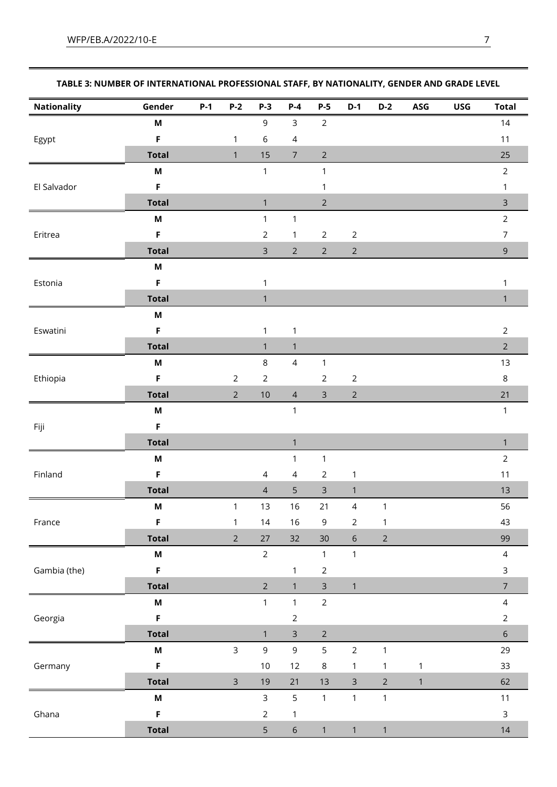| <b>Nationality</b> | Gender                    | $P-1$ | $P-2$          | $P-3$          | $P-4$          | $P-5$          | $D-1$          | $D-2$          | ASG          | <b>USG</b> | <b>Total</b>                                                                                                                                                                                                              |
|--------------------|---------------------------|-------|----------------|----------------|----------------|----------------|----------------|----------------|--------------|------------|---------------------------------------------------------------------------------------------------------------------------------------------------------------------------------------------------------------------------|
|                    | M                         |       |                | $\mathsf 9$    | $\mathsf{3}$   | $\overline{2}$ |                |                |              |            | 14                                                                                                                                                                                                                        |
| Egypt              | $\mathsf F$               |       | $\mathbf{1}$   | $\,$ 6 $\,$    | $\overline{4}$ |                |                |                |              |            | $11$                                                                                                                                                                                                                      |
|                    | <b>Total</b>              |       | $\mathbf{1}$   | 15             | $\sqrt{ }$     | $\overline{2}$ |                |                |              |            | 25                                                                                                                                                                                                                        |
|                    | M                         |       |                | $\mathbf{1}$   |                | $\mathbf{1}$   |                |                |              |            | $\overline{2}$                                                                                                                                                                                                            |
| El Salvador        | $\mathsf F$               |       |                |                |                | $\mathbf{1}$   |                |                |              |            | $\mathbf{1}$                                                                                                                                                                                                              |
|                    | <b>Total</b>              |       |                | $\mathbf{1}$   |                | $\overline{2}$ |                |                |              |            | $\overline{3}$                                                                                                                                                                                                            |
|                    | $\boldsymbol{\mathsf{M}}$ |       |                | $\mathbf{1}$   | $\mathbf{1}$   |                |                |                |              |            | $\overline{2}$                                                                                                                                                                                                            |
| Eritrea            | $\mathsf F$               |       |                | $\sqrt{2}$     | $\mathbf{1}$   | $\overline{2}$ | $\overline{2}$ |                |              |            | $\overline{7}$                                                                                                                                                                                                            |
|                    | <b>Total</b>              |       |                | $\overline{3}$ | $\overline{2}$ | $\overline{2}$ | $\overline{2}$ |                |              |            | $\overline{9}$                                                                                                                                                                                                            |
|                    | M                         |       |                |                |                |                |                |                |              |            |                                                                                                                                                                                                                           |
| Estonia            | F                         |       |                | $\mathbf{1}$   |                |                |                |                |              |            | 1                                                                                                                                                                                                                         |
|                    | <b>Total</b>              |       |                | $\mathbf{1}$   |                |                |                |                |              |            | $\mathbf{1}$                                                                                                                                                                                                              |
|                    | M                         |       |                |                |                |                |                |                |              |            |                                                                                                                                                                                                                           |
| Eswatini           | $\mathsf F$               |       |                | $\mathbf{1}$   | $\mathbf{1}$   |                |                |                |              |            | $\overline{2}$                                                                                                                                                                                                            |
|                    | <b>Total</b>              |       |                | $\mathbf{1}$   | $\mathbf{1}$   |                |                |                |              |            | $2\overline{ }$                                                                                                                                                                                                           |
|                    | $\boldsymbol{\mathsf{M}}$ |       |                | $\,8\,$        | $\overline{4}$ | $\mathbf{1}$   |                |                |              |            | 13                                                                                                                                                                                                                        |
| Ethiopia           | $\mathsf F$               |       | $\overline{2}$ | $\sqrt{2}$     |                | $\overline{2}$ | $\sqrt{2}$     |                |              |            | $\,8\,$                                                                                                                                                                                                                   |
|                    | <b>Total</b>              |       | $\overline{2}$ | $10$           | $\overline{4}$ | $\mathsf{3}$   | $\overline{2}$ |                |              |            | 21<br>$\mathbf{1}$<br>$\mathbf{1}$<br>$\overline{2}$<br>$11$<br>13<br>56<br>43<br>99<br>$\overline{4}$<br>3<br>$\overline{7}$<br>$\overline{4}$<br>$\overline{2}$<br>$6\,$<br>29<br>33<br>62<br>$11$<br>$\mathsf 3$<br>14 |
| Fiji               | M                         |       |                |                | $\mathbf{1}$   |                |                |                |              |            |                                                                                                                                                                                                                           |
|                    | $\mathsf F$               |       |                |                |                |                |                |                |              |            |                                                                                                                                                                                                                           |
|                    | <b>Total</b>              |       |                |                | $\mathbf{1}$   |                |                |                |              |            |                                                                                                                                                                                                                           |
|                    | M                         |       |                |                | $\mathbf{1}$   | $\mathbf{1}$   |                |                |              |            |                                                                                                                                                                                                                           |
| Finland            | $\mathsf F$               |       |                | $\overline{4}$ | 4              | $\overline{2}$ | $\mathbf{1}$   |                |              |            |                                                                                                                                                                                                                           |
|                    | <b>Total</b>              |       |                | $\overline{4}$ | 5              | $\mathsf{3}$   | $\mathbf{1}$   |                |              |            |                                                                                                                                                                                                                           |
|                    | M                         |       | $\mathbf{1}$   | 13             | 16             | 21             | $\overline{4}$ | $\mathbf{1}$   |              |            |                                                                                                                                                                                                                           |
| France             | F                         |       | $\mathbf{1}$   | 14             | $16$           | 9              | $\sqrt{2}$     | 1              |              |            |                                                                                                                                                                                                                           |
|                    | <b>Total</b>              |       | $\overline{2}$ | 27             | 32             | 30             | $\sqrt{6}$     | $\overline{2}$ |              |            |                                                                                                                                                                                                                           |
|                    | M                         |       |                | $\overline{2}$ |                | $\mathbf{1}$   | $\mathbf{1}$   |                |              |            |                                                                                                                                                                                                                           |
| Gambia (the)       | $\mathsf F$               |       |                |                | $\mathbf 1$    | $\overline{2}$ |                |                |              |            |                                                                                                                                                                                                                           |
|                    | <b>Total</b>              |       |                | $\overline{2}$ | $\mathbf{1}$   | $\mathsf{3}$   | $\mathbf{1}$   |                |              |            |                                                                                                                                                                                                                           |
|                    | M                         |       |                | $\mathbf{1}$   | $\mathbf{1}$   | $\overline{2}$ |                |                |              |            |                                                                                                                                                                                                                           |
| Georgia            | $\mathsf F$               |       |                |                | $\overline{2}$ |                |                |                |              |            |                                                                                                                                                                                                                           |
|                    | <b>Total</b>              |       |                | $\mathbf{1}$   | $\mathsf{3}$   | $\overline{2}$ |                |                |              |            |                                                                                                                                                                                                                           |
|                    | $\boldsymbol{\mathsf{M}}$ |       | $\mathsf{3}$   | $\mathsf 9$    | 9              | 5              | $\overline{2}$ | $\mathbf{1}$   |              |            |                                                                                                                                                                                                                           |
| Germany            | $\mathsf F$               |       |                | $10$           | $12$           | $\,8\,$        | $\mathbf{1}$   | $\mathbf{1}$   | $\mathbf{1}$ |            |                                                                                                                                                                                                                           |
|                    | <b>Total</b>              |       | $\mathbf{3}$   | 19             | 21             | 13             | $\mathsf{3}$   | $\overline{2}$ | $\mathbf{1}$ |            |                                                                                                                                                                                                                           |
|                    | M                         |       |                | $\overline{3}$ | 5              | $\mathbf{1}$   | $\mathbf{1}$   | $\mathbf{1}$   |              |            |                                                                                                                                                                                                                           |
| Ghana              | F                         |       |                | $\sqrt{2}$     | $\mathbf{1}$   |                |                |                |              |            |                                                                                                                                                                                                                           |
|                    | <b>Total</b>              |       |                | 5              | $\sqrt{6}$     | $\mathbf{1}$   | $\mathbf{1}$   | $\mathbf{1}$   |              |            |                                                                                                                                                                                                                           |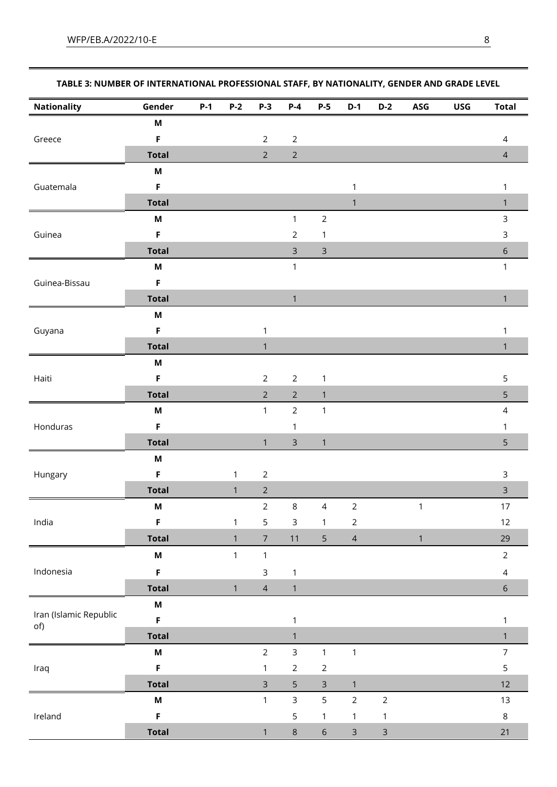| <b>Nationality</b>     | Gender                    | $P-1$ | $P-2$        | $P-3$          | $P-4$          |                                                                                                                                                                                                                                                                                                                                                                                                                                                                                                                |              |                |                                                                                                                                                                                        | <b>Total</b>   |
|------------------------|---------------------------|-------|--------------|----------------|----------------|----------------------------------------------------------------------------------------------------------------------------------------------------------------------------------------------------------------------------------------------------------------------------------------------------------------------------------------------------------------------------------------------------------------------------------------------------------------------------------------------------------------|--------------|----------------|----------------------------------------------------------------------------------------------------------------------------------------------------------------------------------------|----------------|
|                        | M                         |       |              |                |                |                                                                                                                                                                                                                                                                                                                                                                                                                                                                                                                |              |                |                                                                                                                                                                                        |                |
| Greece                 | F                         |       |              | $\overline{2}$ | $\sqrt{2}$     |                                                                                                                                                                                                                                                                                                                                                                                                                                                                                                                |              |                |                                                                                                                                                                                        | $\overline{4}$ |
|                        | <b>Total</b>              |       |              | $\overline{2}$ | $\sqrt{2}$     |                                                                                                                                                                                                                                                                                                                                                                                                                                                                                                                |              |                |                                                                                                                                                                                        | $\overline{4}$ |
|                        | $\boldsymbol{\mathsf{M}}$ |       |              |                |                |                                                                                                                                                                                                                                                                                                                                                                                                                                                                                                                |              |                |                                                                                                                                                                                        |                |
| Guatemala              | F                         |       |              |                |                |                                                                                                                                                                                                                                                                                                                                                                                                                                                                                                                | $\mathbf 1$  |                |                                                                                                                                                                                        | $\mathbf{1}$   |
|                        | <b>Total</b>              |       |              |                |                |                                                                                                                                                                                                                                                                                                                                                                                                                                                                                                                | $\mathbf{1}$ |                |                                                                                                                                                                                        | $\mathbf{1}$   |
|                        | M                         |       |              |                | $\mathbf{1}$   | $P-5$<br>$D-1$<br>$D-2$<br>ASG<br><b>USG</b><br>$\overline{2}$<br>$\mathbf{1}$<br>$\mathsf 3$<br>$\mathbf{1}$<br>$\mathbf{1}$<br>$\mathbf{1}$<br>$\mathbf{1}$<br>$\overline{2}$<br>$\overline{4}$<br>$\mathbf{1}$<br>$\overline{2}$<br>$\mathbf{1}$<br>5<br>$\overline{4}$<br>1<br>$\mathbf{1}$<br>$\mathbf{1}$<br>$\overline{c}$<br>$\mathbf{1}$<br>$\mathsf{3}$<br>5<br>$\overline{2}$<br>$\overline{2}$<br>$\mathbf{1}$<br>$\mathbf{1}$<br>$\mathbf{1}$<br>$\overline{6}$<br>$\overline{3}$<br>$\mathsf{3}$ |              | $\overline{3}$ |                                                                                                                                                                                        |                |
| Guinea                 | F                         |       |              |                | $\overline{2}$ |                                                                                                                                                                                                                                                                                                                                                                                                                                                                                                                |              |                |                                                                                                                                                                                        | $\mathsf 3$    |
|                        | <b>Total</b>              |       |              |                | 3              |                                                                                                                                                                                                                                                                                                                                                                                                                                                                                                                |              |                |                                                                                                                                                                                        | $\sqrt{6}$     |
|                        | M                         |       |              |                | $\mathbf{1}$   |                                                                                                                                                                                                                                                                                                                                                                                                                                                                                                                |              |                |                                                                                                                                                                                        | $\mathbf{1}$   |
| Guinea-Bissau          | $\mathsf F$               |       |              |                |                |                                                                                                                                                                                                                                                                                                                                                                                                                                                                                                                |              |                |                                                                                                                                                                                        |                |
|                        | <b>Total</b>              |       |              |                | $\mathbf{1}$   |                                                                                                                                                                                                                                                                                                                                                                                                                                                                                                                |              |                |                                                                                                                                                                                        | $\mathbf{1}$   |
|                        | M                         |       |              |                |                |                                                                                                                                                                                                                                                                                                                                                                                                                                                                                                                |              |                |                                                                                                                                                                                        |                |
| Guyana                 | F                         |       |              | $\mathbf{1}$   |                |                                                                                                                                                                                                                                                                                                                                                                                                                                                                                                                |              |                |                                                                                                                                                                                        | 1              |
|                        | <b>Total</b>              |       |              | $\mathbf{1}$   |                |                                                                                                                                                                                                                                                                                                                                                                                                                                                                                                                |              |                |                                                                                                                                                                                        | $\mathbf{1}$   |
|                        | M                         |       |              |                |                |                                                                                                                                                                                                                                                                                                                                                                                                                                                                                                                |              |                |                                                                                                                                                                                        |                |
| Haiti                  | F                         |       |              | $\overline{2}$ | $\overline{2}$ |                                                                                                                                                                                                                                                                                                                                                                                                                                                                                                                |              |                |                                                                                                                                                                                        | 5              |
|                        | <b>Total</b>              |       |              | $\overline{2}$ | $\overline{2}$ |                                                                                                                                                                                                                                                                                                                                                                                                                                                                                                                |              |                |                                                                                                                                                                                        | 5              |
|                        | M                         |       |              | $\mathbf{1}$   | $\overline{2}$ |                                                                                                                                                                                                                                                                                                                                                                                                                                                                                                                |              |                |                                                                                                                                                                                        | $\sqrt{4}$     |
| Honduras               | F                         |       |              |                | 1              |                                                                                                                                                                                                                                                                                                                                                                                                                                                                                                                |              |                |                                                                                                                                                                                        |                |
|                        | <b>Total</b>              |       |              | $\mathbf{1}$   | $\mathsf{3}$   |                                                                                                                                                                                                                                                                                                                                                                                                                                                                                                                |              |                |                                                                                                                                                                                        |                |
|                        | M                         |       |              |                |                |                                                                                                                                                                                                                                                                                                                                                                                                                                                                                                                |              |                |                                                                                                                                                                                        |                |
| Hungary                | $\mathsf F$               |       | $\mathbf{1}$ | $\overline{2}$ |                |                                                                                                                                                                                                                                                                                                                                                                                                                                                                                                                |              |                |                                                                                                                                                                                        |                |
|                        | <b>Total</b>              |       | $\mathbf{1}$ | $\sqrt{2}$     |                |                                                                                                                                                                                                                                                                                                                                                                                                                                                                                                                |              |                |                                                                                                                                                                                        |                |
|                        | M                         |       |              | $\overline{2}$ | $\,8\,$        |                                                                                                                                                                                                                                                                                                                                                                                                                                                                                                                |              |                |                                                                                                                                                                                        |                |
| India                  | F                         |       | $\mathbf{1}$ | 5              | $\mathsf 3$    |                                                                                                                                                                                                                                                                                                                                                                                                                                                                                                                |              |                |                                                                                                                                                                                        |                |
|                        | <b>Total</b>              |       | $\mathbf{1}$ | $\overline{7}$ | $11$           |                                                                                                                                                                                                                                                                                                                                                                                                                                                                                                                |              |                |                                                                                                                                                                                        | 29             |
|                        | $\boldsymbol{\mathsf{M}}$ |       | $\mathbf{1}$ | $\mathbf{1}$   |                |                                                                                                                                                                                                                                                                                                                                                                                                                                                                                                                |              |                |                                                                                                                                                                                        |                |
| Indonesia              | F                         |       |              | $\mathsf{3}$   | $\mathbf{1}$   |                                                                                                                                                                                                                                                                                                                                                                                                                                                                                                                |              |                |                                                                                                                                                                                        |                |
|                        | <b>Total</b>              |       | $\mathbf{1}$ | $\overline{4}$ | $\mathbf{1}$   |                                                                                                                                                                                                                                                                                                                                                                                                                                                                                                                |              |                |                                                                                                                                                                                        |                |
|                        | $\boldsymbol{\mathsf{M}}$ |       |              |                |                |                                                                                                                                                                                                                                                                                                                                                                                                                                                                                                                |              |                |                                                                                                                                                                                        |                |
| Iran (Islamic Republic | F                         |       |              |                | $\mathbf{1}$   |                                                                                                                                                                                                                                                                                                                                                                                                                                                                                                                |              |                |                                                                                                                                                                                        |                |
| of)                    | <b>Total</b>              |       |              |                | $\mathbf{1}$   |                                                                                                                                                                                                                                                                                                                                                                                                                                                                                                                |              |                | $\mathbf{1}$<br>5<br>$\mathsf{3}$<br>$\mathsf{3}$<br>$17$<br>$12\,$<br>$\overline{2}$<br>$\overline{4}$<br>$\sqrt{6}$<br>$\mathbf{1}$<br>$\mathbf{1}$<br>$\overline{7}$<br>$\mathsf S$ |                |
|                        | $\boldsymbol{\mathsf{M}}$ |       |              | $\overline{2}$ | $\overline{3}$ |                                                                                                                                                                                                                                                                                                                                                                                                                                                                                                                |              |                |                                                                                                                                                                                        |                |
| Iraq                   | F                         |       |              | $\mathbf{1}$   | $\overline{2}$ |                                                                                                                                                                                                                                                                                                                                                                                                                                                                                                                |              |                |                                                                                                                                                                                        |                |
|                        | <b>Total</b>              |       |              | $\overline{3}$ | 5              |                                                                                                                                                                                                                                                                                                                                                                                                                                                                                                                |              |                |                                                                                                                                                                                        | 12             |
|                        | $\boldsymbol{\mathsf{M}}$ |       |              | $\mathbf{1}$   | $\overline{3}$ |                                                                                                                                                                                                                                                                                                                                                                                                                                                                                                                |              |                |                                                                                                                                                                                        | 13             |
| Ireland                | $\mathsf F$               |       |              |                | 5              |                                                                                                                                                                                                                                                                                                                                                                                                                                                                                                                |              |                |                                                                                                                                                                                        | $\,8\,$        |
|                        | <b>Total</b>              |       |              | $\mathbf{1}$   | $\,8\,$        |                                                                                                                                                                                                                                                                                                                                                                                                                                                                                                                |              |                |                                                                                                                                                                                        | 21             |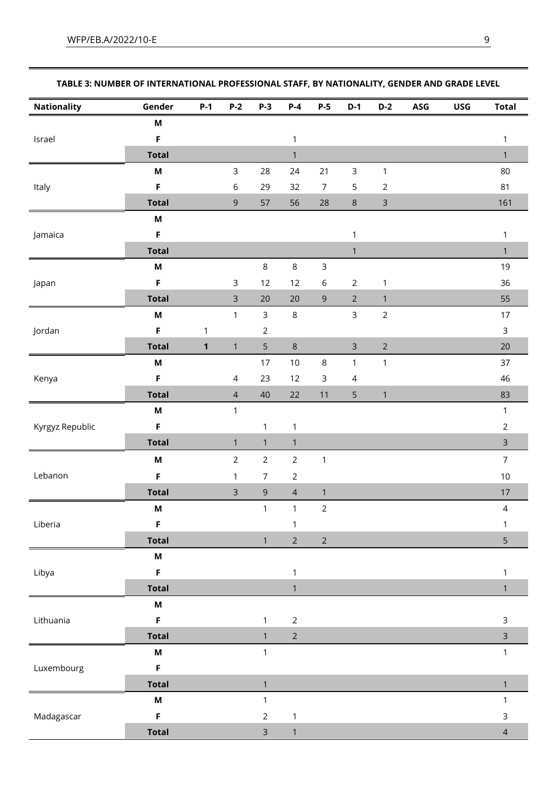| <b>Nationality</b> | Gender                    | $P-1$        | $P-2$          | $P-3$          | $P-4$          | $P-5$            | $D-1$          | $D-2$          | ASG | <b>USG</b> | <b>Total</b>            |
|--------------------|---------------------------|--------------|----------------|----------------|----------------|------------------|----------------|----------------|-----|------------|-------------------------|
|                    | M                         |              |                |                |                |                  |                |                |     |            |                         |
| Israel             | F                         |              |                |                | $\mathbf{1}$   |                  |                |                |     |            | $\mathbf{1}$            |
|                    | <b>Total</b>              |              |                |                | $\mathbf{1}$   |                  |                |                |     |            | $\mathbf{1}$            |
|                    | $\boldsymbol{\mathsf{M}}$ |              | 3              | 28             | 24             | 21               | $\mathsf 3$    | $\mathbf{1}$   |     |            | 80                      |
| Italy              | F                         |              | 6              | 29             | 32             | $\boldsymbol{7}$ | 5              | $\sqrt{2}$     |     |            | 81                      |
|                    | <b>Total</b>              |              | $\mathsf 9$    | 57             | 56             | 28               | $\,8\,$        | $\mathsf 3$    |     |            | 161                     |
|                    | $\boldsymbol{\mathsf{M}}$ |              |                |                |                |                  |                |                |     |            |                         |
| Jamaica            | F                         |              |                |                |                |                  | $\mathbf{1}$   |                |     |            | $\mathbf{1}$            |
|                    | <b>Total</b>              |              |                |                |                |                  | $\mathbf{1}$   |                |     |            | $\mathbf{1}$            |
|                    | $\boldsymbol{\mathsf{M}}$ |              |                | $\,8\,$        | $\,8\,$        | $\mathsf 3$      |                |                |     |            | $19$                    |
| Japan              | F                         |              | 3              | 12             | 12             | $\,$ 6 $\,$      | $\overline{2}$ | $\mathbf{1}$   |     |            | 36                      |
|                    | <b>Total</b>              |              | $\mathsf{3}$   | 20             | $20\,$         | $\mathsf 9$      | $\overline{2}$ | $\mathbf{1}$   |     |            | 55                      |
|                    | M                         |              | $\mathbf{1}$   | $\mathsf{3}$   | $\,8\,$        |                  | $\overline{3}$ | $\overline{2}$ |     |            | 17                      |
| Jordan             | F                         | $\mathbf{1}$ |                | $\sqrt{2}$     |                |                  |                |                |     |            | $\mathsf 3$             |
|                    | <b>Total</b>              | $\mathbf{1}$ | $\mathbf{1}$   | $\mathsf S$    | $\,8\,$        |                  | $\mathsf 3$    | $\mathbf 2$    |     |            | 20                      |
|                    | M                         |              |                | 17             | $10$           | $\,8\,$          | $\mathbf{1}$   | $\mathbf{1}$   |     |            | 37                      |
| Kenya              | F                         |              | $\overline{4}$ | 23             | 12             | 3                | $\overline{4}$ |                |     |            | 46                      |
|                    | <b>Total</b>              |              | $\overline{4}$ | 40             | 22             | $11$             | 5              | $\mathbf{1}$   |     |            | 83                      |
| Kyrgyz Republic    | $\boldsymbol{\mathsf{M}}$ |              | $\mathbf{1}$   |                |                |                  |                |                |     |            | $\mathbf{1}$            |
|                    | F                         |              |                | $\mathbf{1}$   | 1              |                  |                |                |     |            | $\overline{2}$          |
|                    | <b>Total</b>              |              | $\mathbf{1}$   | $\mathbf{1}$   | $\mathbf{1}$   |                  |                |                |     |            | $\overline{\mathbf{3}}$ |
|                    | $\boldsymbol{\mathsf{M}}$ |              | $\overline{2}$ | $\sqrt{2}$     | $\overline{2}$ | $\mathbf{1}$     |                |                |     |            | $\overline{7}$          |
| Lebanon            | $\mathsf F$               |              | $\mathbf{1}$   | $\overline{7}$ | $\sqrt{2}$     |                  |                |                |     |            | $10\,$                  |
|                    | <b>Total</b>              |              | $\mathsf 3$    | $\mathsf 9$    | $\overline{4}$ | $\mathbf{1}$     |                |                |     |            | $17$                    |
|                    | M                         |              |                | $\mathbf{1}$   | $\mathbf{1}$   | $\sqrt{2}$       |                |                |     |            | $\overline{a}$          |
| Liberia            | F                         |              |                |                | 1              |                  |                |                |     |            | 1                       |
|                    | <b>Total</b>              |              |                | $\mathbf{1}$   | $\overline{2}$ | $\sqrt{2}$       |                |                |     |            | 5                       |
|                    | M                         |              |                |                |                |                  |                |                |     |            |                         |
| Libya              | F                         |              |                |                | 1              |                  |                |                |     |            | 1                       |
|                    | <b>Total</b>              |              |                |                | $\mathbf{1}$   |                  |                |                |     |            | $\mathbf{1}$            |
|                    | M                         |              |                |                |                |                  |                |                |     |            |                         |
| Lithuania          | F                         |              |                | $\mathbf{1}$   | $\overline{2}$ |                  |                |                |     |            | $\mathsf{3}$            |
|                    | <b>Total</b>              |              |                | $\mathbf{1}$   | $\overline{2}$ |                  |                |                |     |            | $\overline{\mathbf{3}}$ |
|                    | M                         |              |                | $\mathbf{1}$   |                |                  |                |                |     |            | $\mathbf{1}$            |
| Luxembourg         | F                         |              |                |                |                |                  |                |                |     |            |                         |
|                    | <b>Total</b>              |              |                | $\mathbf{1}$   |                |                  |                |                |     |            | $\mathbf{1}$            |
|                    | M                         |              |                | $\mathbf{1}$   |                |                  |                |                |     |            | $\mathbf{1}$            |
| Madagascar         | F                         |              |                | $\overline{2}$ | 1              |                  |                |                |     |            | $\mathsf{3}$            |
|                    | <b>Total</b>              |              |                | $\overline{3}$ | $\mathbf{1}$   |                  |                |                |     |            | $\overline{4}$          |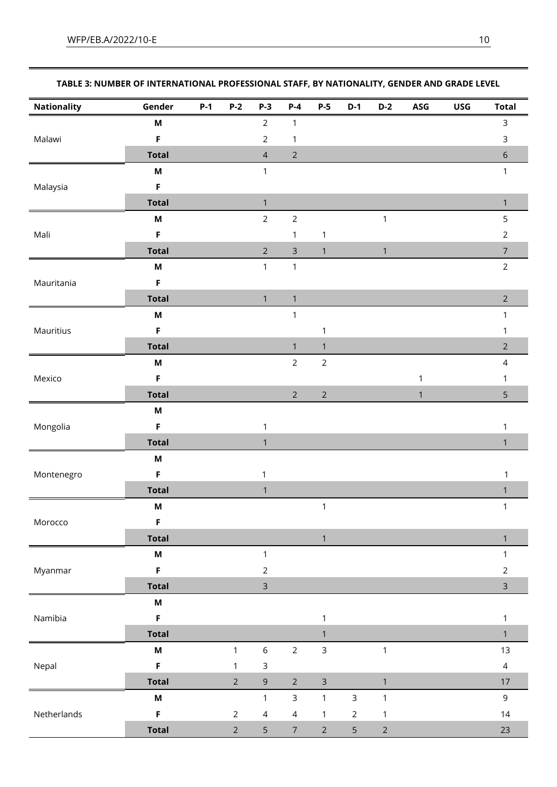|             | TABLE 3: NUMBER OF INTERNATIONAL PROFESSIONAL STAFF, BY NATIONALITY, GENDER AND GRADE LEVEL |                         |  |  |     |     |     |       |
|-------------|---------------------------------------------------------------------------------------------|-------------------------|--|--|-----|-----|-----|-------|
| Nationality | Gender                                                                                      | P-1 P-2 P-3 P-4 P-5 D-1 |  |  | D-2 | ASG | USG | Total |
|             | М                                                                                           |                         |  |  |     |     |     |       |

| Malawi<br>Malaysia<br>Mali<br>Mauritania<br>Mauritius<br>Mexico<br>Mongolia | M                         | $\angle$                                                                                                                                                                                                                                                                                                                                                                                                                                                                                                                                                                                                                                                                                                                      | Т.             |                |              |              | 3              |
|-----------------------------------------------------------------------------|---------------------------|-------------------------------------------------------------------------------------------------------------------------------------------------------------------------------------------------------------------------------------------------------------------------------------------------------------------------------------------------------------------------------------------------------------------------------------------------------------------------------------------------------------------------------------------------------------------------------------------------------------------------------------------------------------------------------------------------------------------------------|----------------|----------------|--------------|--------------|----------------|
|                                                                             | $\mathsf F$               | $\overline{2}$                                                                                                                                                                                                                                                                                                                                                                                                                                                                                                                                                                                                                                                                                                                | 1              |                |              |              | $\mathsf{3}$   |
|                                                                             | <b>Total</b>              | $\overline{4}$                                                                                                                                                                                                                                                                                                                                                                                                                                                                                                                                                                                                                                                                                                                | $\overline{2}$ |                |              |              | $\sqrt{6}$     |
|                                                                             | $\boldsymbol{\mathsf{M}}$ | $\mathbf{1}$                                                                                                                                                                                                                                                                                                                                                                                                                                                                                                                                                                                                                                                                                                                  |                |                |              |              | $\mathbf{1}$   |
|                                                                             | $\mathsf F$               |                                                                                                                                                                                                                                                                                                                                                                                                                                                                                                                                                                                                                                                                                                                               |                |                |              |              |                |
|                                                                             | <b>Total</b>              | $\mathbf{1}$                                                                                                                                                                                                                                                                                                                                                                                                                                                                                                                                                                                                                                                                                                                  |                |                |              |              | $\mathbf{1}$   |
|                                                                             | $\boldsymbol{\mathsf{M}}$ | $\overline{2}$                                                                                                                                                                                                                                                                                                                                                                                                                                                                                                                                                                                                                                                                                                                | $\overline{2}$ |                | $\mathbf{1}$ |              | 5              |
|                                                                             | $\mathsf F$               |                                                                                                                                                                                                                                                                                                                                                                                                                                                                                                                                                                                                                                                                                                                               | 1              | $\mathbf 1$    |              |              | $\overline{2}$ |
|                                                                             | <b>Total</b>              | $\overline{2}$                                                                                                                                                                                                                                                                                                                                                                                                                                                                                                                                                                                                                                                                                                                | $\mathsf 3$    | $\mathbf{1}$   | $\mathbf{1}$ |              | $\overline{7}$ |
|                                                                             | $\boldsymbol{\mathsf{M}}$ | $\mathbf{1}$                                                                                                                                                                                                                                                                                                                                                                                                                                                                                                                                                                                                                                                                                                                  | $\mathbf{1}$   |                |              |              | $\overline{2}$ |
|                                                                             | $\mathsf F$               |                                                                                                                                                                                                                                                                                                                                                                                                                                                                                                                                                                                                                                                                                                                               |                |                |              |              |                |
|                                                                             | <b>Total</b>              | $\mathbf{1}$                                                                                                                                                                                                                                                                                                                                                                                                                                                                                                                                                                                                                                                                                                                  | $\mathbf{1}$   |                |              |              | $\overline{2}$ |
|                                                                             | $\boldsymbol{\mathsf{M}}$ |                                                                                                                                                                                                                                                                                                                                                                                                                                                                                                                                                                                                                                                                                                                               | $\mathbf{1}$   |                |              |              | 1              |
|                                                                             | F                         |                                                                                                                                                                                                                                                                                                                                                                                                                                                                                                                                                                                                                                                                                                                               |                | 1              |              |              | 1              |
|                                                                             | <b>Total</b>              |                                                                                                                                                                                                                                                                                                                                                                                                                                                                                                                                                                                                                                                                                                                               | $\mathbf{1}$   | $\mathbf{1}$   |              |              | $\overline{2}$ |
|                                                                             | $\boldsymbol{\mathsf{M}}$ |                                                                                                                                                                                                                                                                                                                                                                                                                                                                                                                                                                                                                                                                                                                               | $\overline{2}$ | $\overline{2}$ |              |              | $\overline{4}$ |
|                                                                             | $\mathsf F$               |                                                                                                                                                                                                                                                                                                                                                                                                                                                                                                                                                                                                                                                                                                                               |                |                |              | $\mathbf{1}$ | 1              |
|                                                                             | <b>Total</b>              | $\overline{2}$<br>$\overline{2}$<br>$\mathbf{1}$<br>$\mathbf{1}$<br>$\mathbf{1}$<br>$\mathbf{1}$<br>$\mathbf{1}$<br>$\mathbf{1}$<br>$\mathbf{1}$<br>$\mathbf{1}$<br>$\overline{2}$<br>$\overline{3}$<br>$\mathbf{1}$<br>$\mathbf{1}$<br>$\overline{2}$<br>$\mathsf{3}$<br>$\sqrt{6}$<br>$\mathbf{1}$<br>$\mathbf{1}$<br>$\mathsf 3$<br>$\mathbf{1}$<br>$\overline{2}$<br>$\mathsf{3}$<br>$\overline{2}$<br>$\mathsf 9$<br>$\mathbf{1}$<br>$\mathsf{3}$<br>$\mathsf{3}$<br>$\mathbf{1}$<br>$\mathbf{1}$<br>$\mathbf{1}$<br>$\overline{4}$<br>$\overline{2}$<br>$\overline{2}$<br>$\overline{4}$<br>$\mathbf{1}$<br>$\mathbf{1}$<br>5<br>$\overline{2}$<br>$\overline{2}$<br>$\overline{7}$<br>$\overline{5}$<br>$\overline{2}$ | 5              |                |              |              |                |
|                                                                             | $\boldsymbol{\mathsf{M}}$ |                                                                                                                                                                                                                                                                                                                                                                                                                                                                                                                                                                                                                                                                                                                               |                |                |              |              |                |
|                                                                             | F                         |                                                                                                                                                                                                                                                                                                                                                                                                                                                                                                                                                                                                                                                                                                                               |                |                |              |              | 1              |
|                                                                             | <b>Total</b>              |                                                                                                                                                                                                                                                                                                                                                                                                                                                                                                                                                                                                                                                                                                                               |                |                |              |              | $\mathbf{1}$   |
|                                                                             | $\boldsymbol{\mathsf{M}}$ |                                                                                                                                                                                                                                                                                                                                                                                                                                                                                                                                                                                                                                                                                                                               |                |                |              |              |                |
| Montenegro                                                                  | F                         |                                                                                                                                                                                                                                                                                                                                                                                                                                                                                                                                                                                                                                                                                                                               |                |                |              |              | 1              |
|                                                                             | <b>Total</b>              |                                                                                                                                                                                                                                                                                                                                                                                                                                                                                                                                                                                                                                                                                                                               |                |                |              |              | $\mathbf{1}$   |
|                                                                             | $\boldsymbol{\mathsf{M}}$ |                                                                                                                                                                                                                                                                                                                                                                                                                                                                                                                                                                                                                                                                                                                               |                |                |              |              | $\mathbf{1}$   |
| Morocco                                                                     | F                         |                                                                                                                                                                                                                                                                                                                                                                                                                                                                                                                                                                                                                                                                                                                               |                |                |              |              |                |
|                                                                             | <b>Total</b>              |                                                                                                                                                                                                                                                                                                                                                                                                                                                                                                                                                                                                                                                                                                                               |                |                |              |              | 1              |
|                                                                             | $\boldsymbol{\mathsf{M}}$ |                                                                                                                                                                                                                                                                                                                                                                                                                                                                                                                                                                                                                                                                                                                               |                |                |              |              | $\mathbf{1}$   |
| Myanmar                                                                     | $\mathsf F$               |                                                                                                                                                                                                                                                                                                                                                                                                                                                                                                                                                                                                                                                                                                                               |                |                |              |              | $\overline{2}$ |
|                                                                             | <b>Total</b>              |                                                                                                                                                                                                                                                                                                                                                                                                                                                                                                                                                                                                                                                                                                                               |                |                |              |              | $\overline{3}$ |
|                                                                             | $\boldsymbol{\mathsf{M}}$ |                                                                                                                                                                                                                                                                                                                                                                                                                                                                                                                                                                                                                                                                                                                               |                |                |              |              |                |
| Namibia                                                                     | $\mathsf F$               |                                                                                                                                                                                                                                                                                                                                                                                                                                                                                                                                                                                                                                                                                                                               |                |                |              |              | $\mathbf{1}$   |
|                                                                             | <b>Total</b>              |                                                                                                                                                                                                                                                                                                                                                                                                                                                                                                                                                                                                                                                                                                                               |                |                |              |              | $\mathbf{1}$   |
|                                                                             | $\boldsymbol{\mathsf{M}}$ |                                                                                                                                                                                                                                                                                                                                                                                                                                                                                                                                                                                                                                                                                                                               |                |                |              |              | 13             |
| Nepal                                                                       | $\mathsf F$               |                                                                                                                                                                                                                                                                                                                                                                                                                                                                                                                                                                                                                                                                                                                               |                |                |              |              | $\overline{4}$ |
|                                                                             | <b>Total</b>              |                                                                                                                                                                                                                                                                                                                                                                                                                                                                                                                                                                                                                                                                                                                               |                |                |              |              | $17$           |
|                                                                             | $\boldsymbol{\mathsf{M}}$ |                                                                                                                                                                                                                                                                                                                                                                                                                                                                                                                                                                                                                                                                                                                               |                |                |              |              | $\overline{9}$ |
| Netherlands                                                                 | $\mathsf F$               |                                                                                                                                                                                                                                                                                                                                                                                                                                                                                                                                                                                                                                                                                                                               |                |                |              |              | 14             |
|                                                                             | <b>Total</b>              |                                                                                                                                                                                                                                                                                                                                                                                                                                                                                                                                                                                                                                                                                                                               |                |                |              |              | 23             |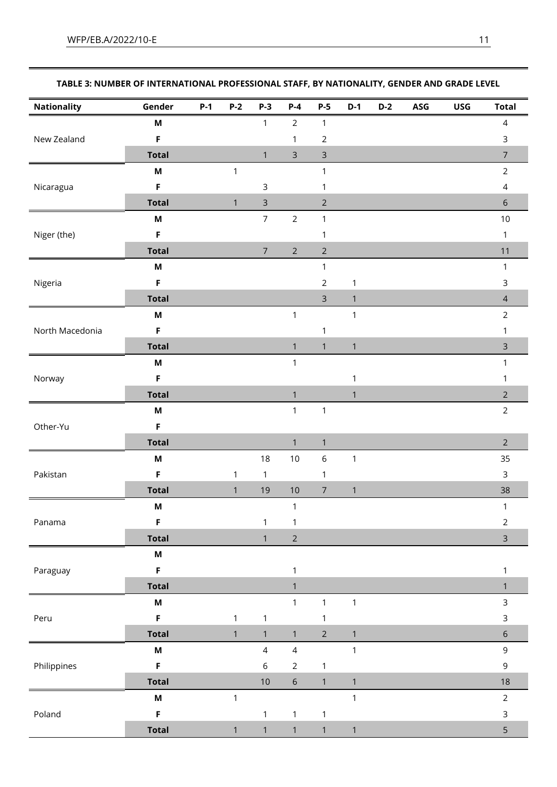| <b>Nationality</b> | Gender                    | $P-1$ | $P-2$        | $P-3$          | $P-4$          | $P-5$          | $D-1$        | $D-2$ | ASG | <b>USG</b> | <b>Total</b>   |
|--------------------|---------------------------|-------|--------------|----------------|----------------|----------------|--------------|-------|-----|------------|----------------|
|                    | M                         |       |              | $\mathbf{1}$   | $\overline{2}$ | $\mathbf{1}$   |              |       |     |            | $\overline{4}$ |
| New Zealand        | $\mathsf F$               |       |              |                | $\mathbf{1}$   | $\overline{2}$ |              |       |     |            | $\mathsf 3$    |
|                    | <b>Total</b>              |       |              | $\mathbf{1}$   | $\mathsf 3$    | $\mathsf 3$    |              |       |     |            | $\overline{7}$ |
|                    | $\boldsymbol{\mathsf{M}}$ |       | $\mathbf{1}$ |                |                | $\mathbf{1}$   |              |       |     |            | $\overline{2}$ |
| Nicaragua          | $\mathsf F$               |       |              | $\mathsf 3$    |                | $\mathbf{1}$   |              |       |     |            | $\sqrt{4}$     |
|                    | <b>Total</b>              |       | $\mathbf{1}$ | $\mathsf 3$    |                | $\overline{2}$ |              |       |     |            | $\sqrt{6}$     |
|                    | M                         |       |              | $\overline{7}$ | $\overline{2}$ | $\mathbf{1}$   |              |       |     |            | $10\,$         |
| Niger (the)        | F                         |       |              |                |                | 1              |              |       |     |            | $\mathbf{1}$   |
|                    | <b>Total</b>              |       |              | $\overline{7}$ | $\sqrt{2}$     | $\overline{2}$ |              |       |     |            | 11             |
|                    | $\boldsymbol{\mathsf{M}}$ |       |              |                |                | $\mathbf{1}$   |              |       |     |            | $\mathbf{1}$   |
| Nigeria            | $\mathsf F$               |       |              |                |                | $\overline{2}$ | $\mathbf 1$  |       |     |            | $\mathsf{3}$   |
|                    | <b>Total</b>              |       |              |                |                | $\mathsf{3}$   | $\mathbf{1}$ |       |     |            | $\overline{4}$ |
|                    | M                         |       |              |                | $\mathbf{1}$   |                | $\mathbf{1}$ |       |     |            | $\overline{2}$ |
| North Macedonia    | F                         |       |              |                |                | $\mathbf{1}$   |              |       |     |            | 1              |
|                    | <b>Total</b>              |       |              |                | $\mathbf{1}$   | $\mathbf{1}$   | $\mathbf{1}$ |       |     |            | $\mathsf{3}$   |
| Norway             | $\boldsymbol{\mathsf{M}}$ |       |              |                | $\mathbf{1}$   |                |              |       |     |            | $\mathbf{1}$   |
|                    | F                         |       |              |                |                |                | $\mathbf{1}$ |       |     |            | 1              |
|                    | <b>Total</b>              |       |              |                | $\mathbf{1}$   |                | $\mathbf{1}$ |       |     |            | $\overline{2}$ |
| Other-Yu           | M                         |       |              |                | $\mathbf{1}$   | $\mathbf{1}$   |              |       |     |            | $\overline{2}$ |
|                    | F                         |       |              |                |                |                |              |       |     |            |                |
|                    | <b>Total</b>              |       |              |                | $\mathbf{1}$   | $\mathbf{1}$   |              |       |     |            | $\overline{2}$ |
|                    | M                         |       |              | 18             | 10             | $\,$ 6 $\,$    | $\mathbf 1$  |       |     |            | 35             |
| Pakistan           | $\mathsf F$               |       | $\mathbf{1}$ | $\mathbf{1}$   |                | $\mathbf{1}$   |              |       |     |            | $\mathsf{3}$   |
|                    | <b>Total</b>              |       | $\mathbf{1}$ | 19             | 10             | $\overline{7}$ | $\mathbf{1}$ |       |     |            | 38             |
|                    | M                         |       |              |                | $\mathbf{1}$   |                |              |       |     |            | $\mathbf{1}$   |
| Panama             | $\mathsf F$               |       |              | 1              | $\mathbf{1}$   |                |              |       |     |            | $\overline{2}$ |
|                    | <b>Total</b>              |       |              | $\mathbf{1}$   | $\overline{2}$ |                |              |       |     |            | $\overline{3}$ |
|                    | $\boldsymbol{\mathsf{M}}$ |       |              |                |                |                |              |       |     |            |                |
| Paraguay           | $\mathsf F$               |       |              |                | $\mathbf{1}$   |                |              |       |     |            | $\mathbf{1}$   |
|                    | <b>Total</b>              |       |              |                | $\mathbf{1}$   |                |              |       |     |            | $\mathbf{1}$   |
|                    | $\boldsymbol{\mathsf{M}}$ |       |              |                | $\mathbf{1}$   | $\mathbf{1}$   | $\mathbf{1}$ |       |     |            | $\mathsf{3}$   |
| Peru               | $\mathsf F$               |       | $\mathbf{1}$ | $\mathbf{1}$   |                | $\mathbf 1$    |              |       |     |            | $\mathsf 3$    |
|                    | <b>Total</b>              |       | $\mathbf{1}$ | $\mathbf{1}$   | $\mathbf{1}$   | $\overline{2}$ | $\mathbf{1}$ |       |     |            | $6\,$          |
|                    | $\boldsymbol{\mathsf{M}}$ |       |              | $\overline{4}$ | $\overline{4}$ |                | $\mathbf{1}$ |       |     |            | 9              |
| Philippines        | $\mathsf F$               |       |              | $\,$ 6 $\,$    | $\overline{2}$ | $\mathbf{1}$   |              |       |     |            | 9              |
|                    | <b>Total</b>              |       |              | $10\,$         | $\sqrt{6}$     | $\mathbf{1}$   | $\mathbf{1}$ |       |     |            | 18             |
|                    | $\boldsymbol{\mathsf{M}}$ |       | $\mathbf{1}$ |                |                |                | $\mathbf{1}$ |       |     |            | $\overline{2}$ |
| Poland             | $\mathsf F$               |       |              | $\mathbf{1}$   | $\mathbf{1}$   | $\mathbf{1}$   |              |       |     |            | $\mathsf{3}$   |
|                    | <b>Total</b>              |       | $\mathbf{1}$ | $\mathbf{1}$   | $\mathbf{1}$   | $\mathbf{1}$   | $\mathbf{1}$ |       |     |            | 5              |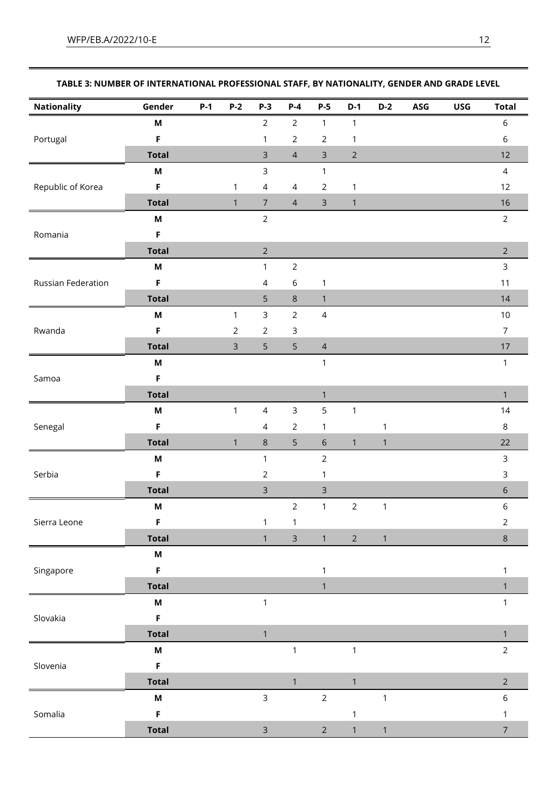| <b>Nationality</b> | Gender                    | $P-1$ | $P-2$          | $P-3$          | $P-4$          | $P-5$          | $D-1$          | $D-2$        | ASG | <b>USG</b> | <b>Total</b>   |
|--------------------|---------------------------|-------|----------------|----------------|----------------|----------------|----------------|--------------|-----|------------|----------------|
|                    | $\boldsymbol{\mathsf{M}}$ |       |                | $\overline{2}$ | $\overline{2}$ | $\mathbf{1}$   | $\mathbf{1}$   |              |     |            | $\,$ 6 $\,$    |
| Portugal           | $\mathsf F$               |       |                | $\mathbf{1}$   | $\overline{2}$ | $\overline{2}$ | $\mathbf 1$    |              |     |            | 6              |
|                    | <b>Total</b>              |       |                | $\mathsf{3}$   | $\overline{4}$ | $\mathsf{3}$   | $\overline{2}$ |              |     |            | 12             |
|                    | $\boldsymbol{\mathsf{M}}$ |       |                | $\overline{3}$ |                | $\mathbf{1}$   |                |              |     |            | $\overline{4}$ |
| Republic of Korea  | F                         |       | $\mathbf{1}$   | $\overline{4}$ | $\overline{4}$ | $\overline{2}$ | $\mathbf 1$    |              |     |            | 12             |
|                    | <b>Total</b>              |       | $\mathbf{1}$   | $\overline{7}$ | $\overline{4}$ | $\mathsf{3}$   | $\mathbf{1}$   |              |     |            | 16             |
|                    | $\boldsymbol{\mathsf{M}}$ |       |                | $\overline{2}$ |                |                |                |              |     |            | $\overline{2}$ |
| Romania            | $\mathsf F$               |       |                |                |                |                |                |              |     |            |                |
|                    | <b>Total</b>              |       |                | $\overline{2}$ |                |                |                |              |     |            | $\overline{2}$ |
|                    | $\boldsymbol{\mathsf{M}}$ |       |                | $\mathbf{1}$   | $\overline{2}$ |                |                |              |     |            | $\mathsf{3}$   |
| Russian Federation | F                         |       |                | $\overline{4}$ | 6              | $\mathbf{1}$   |                |              |     |            | $11$           |
|                    | <b>Total</b>              |       |                | 5              | $\,8\,$        | $\mathbf{1}$   |                |              |     |            | 14             |
|                    | $\boldsymbol{\mathsf{M}}$ |       | $\mathbf{1}$   | $\mathsf{3}$   | $\overline{2}$ | $\overline{4}$ |                |              |     |            | $10$           |
| Rwanda             | $\mathsf F$               |       | $\overline{2}$ | $\sqrt{2}$     | $\mathsf 3$    |                |                |              |     |            | $\overline{7}$ |
|                    | <b>Total</b>              |       | $\mathsf{3}$   | 5              | 5              | $\overline{4}$ |                |              |     |            | $17\,$         |
| Samoa              | $\boldsymbol{\mathsf{M}}$ |       |                |                |                | $\mathbf{1}$   |                |              |     |            | $\mathbf{1}$   |
|                    | F                         |       |                |                |                |                |                |              |     |            |                |
|                    | <b>Total</b>              |       |                |                |                | $\mathbf{1}$   |                |              |     |            | $\mathbf{1}$   |
|                    | M                         |       | $\mathbf{1}$   | $\overline{4}$ | $\mathsf{3}$   | 5              | $\mathbf{1}$   |              |     |            | 14             |
| Senegal            | F                         |       |                | $\overline{4}$ | $\overline{2}$ | $\mathbf{1}$   |                | 1            |     |            | 8              |
|                    | <b>Total</b>              |       | $\mathbf{1}$   | $\,8\,$        | 5              | $\sqrt{6}$     | $\mathbf{1}$   | $\mathbf{1}$ |     |            | 22             |
|                    | $\boldsymbol{\mathsf{M}}$ |       |                | $\mathbf{1}$   |                | $\overline{2}$ |                |              |     |            | $\mathsf{3}$   |
| Serbia             | $\mathsf F$               |       |                | $\overline{2}$ |                | $\mathbf{1}$   |                |              |     |            | $\mathsf{3}$   |
|                    | <b>Total</b>              |       |                | $\mathsf{3}$   |                | 3              |                |              |     |            | $\sqrt{6}$     |
|                    | M                         |       |                |                | $\overline{2}$ | $\mathbf{1}$   | $\overline{2}$ | $\mathbf 1$  |     |            | $\,$ 6 $\,$    |
| Sierra Leone       | F                         |       |                | 1              | 1              |                |                |              |     |            | $\overline{2}$ |
|                    | <b>Total</b>              |       |                | $\mathbf{1}$   | $\mathsf{3}$   | $\mathbf{1}$   | $\overline{2}$ | $\mathbf{1}$ |     |            | $\,8\,$        |
|                    | M                         |       |                |                |                |                |                |              |     |            |                |
| Singapore          | $\mathsf F$               |       |                |                |                | $\mathbf{1}$   |                |              |     |            | 1              |
|                    | <b>Total</b>              |       |                |                |                | $\mathbf{1}$   |                |              |     |            | $\mathbf{1}$   |
|                    | M                         |       |                | $\mathbf{1}$   |                |                |                |              |     |            | $\mathbf{1}$   |
| Slovakia           | $\mathsf F$               |       |                |                |                |                |                |              |     |            |                |
|                    | <b>Total</b>              |       |                | $\mathbf{1}$   |                |                |                |              |     |            | $\mathbf{1}$   |
|                    | $\boldsymbol{\mathsf{M}}$ |       |                |                | $\mathbf{1}$   |                | $\mathbf{1}$   |              |     |            | $\overline{2}$ |
| Slovenia           | $\mathsf F$               |       |                |                |                |                |                |              |     |            |                |
|                    | <b>Total</b>              |       |                |                | $\mathbf{1}$   |                | $\mathbf{1}$   |              |     |            | $\overline{2}$ |
|                    | M                         |       |                | $\mathsf{3}$   |                | $\overline{2}$ |                | $\mathbf{1}$ |     |            | $\,$ 6 $\,$    |
| Somalia            | $\mathsf F$               |       |                |                |                |                | $\mathbf{1}$   |              |     |            | $\mathbf{1}$   |
|                    | <b>Total</b>              |       |                | $\overline{3}$ |                | $\overline{2}$ | $\mathbf{1}$   | $\mathbf{1}$ |     |            | $\overline{7}$ |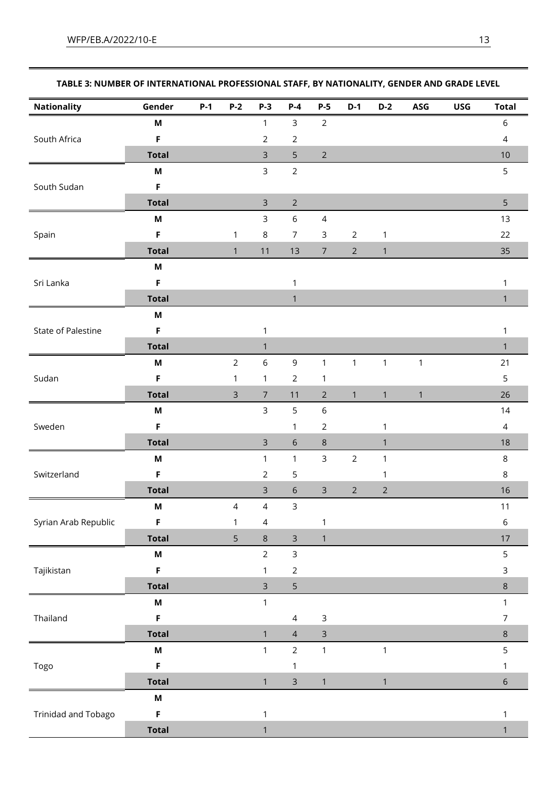| <b>Nationality</b>         | Gender                    | $P-1$ | $P-2$          | <b>P-3</b>     | $P-4$          | $P-5$          | $D-1$          | $D-2$          | ASG          | <b>USG</b> | <b>Total</b>   |
|----------------------------|---------------------------|-------|----------------|----------------|----------------|----------------|----------------|----------------|--------------|------------|----------------|
|                            | M                         |       |                | $\mathbf{1}$   | $\mathsf{3}$   | $\overline{2}$ |                |                |              |            | 6              |
| South Africa               | $\mathsf F$               |       |                | $\sqrt{2}$     | $\overline{2}$ |                |                |                |              |            | $\overline{4}$ |
|                            | <b>Total</b>              |       |                | $\mathsf{3}$   | 5              | $\overline{2}$ |                |                |              |            | 10             |
|                            | $\boldsymbol{\mathsf{M}}$ |       |                | $\overline{3}$ | $\overline{2}$ |                |                |                |              |            | 5              |
| South Sudan                | F                         |       |                |                |                |                |                |                |              |            |                |
|                            | <b>Total</b>              |       |                | $\mathsf 3$    | $\overline{2}$ |                |                |                |              |            | 5              |
|                            | M                         |       |                | $\mathsf{3}$   | $\,$ 6 $\,$    | 4              |                |                |              |            | 13             |
| Spain                      | F                         |       | $\mathbf{1}$   | $\,8\,$        | $\overline{7}$ | $\mathsf 3$    | $\overline{2}$ | $\mathbf{1}$   |              |            | 22             |
|                            | <b>Total</b>              |       | $\mathbf{1}$   | 11             | 13             | $\overline{7}$ | $\overline{2}$ | $\mathbf{1}$   |              |            | 35             |
|                            | M                         |       |                |                |                |                |                |                |              |            |                |
| Sri Lanka                  | $\mathsf F$               |       |                |                | $\mathbf{1}$   |                |                |                |              |            | $\mathbf{1}$   |
|                            | <b>Total</b>              |       |                |                | $\mathbf{1}$   |                |                |                |              |            | $\mathbf{1}$   |
|                            | M                         |       |                |                |                |                |                |                |              |            |                |
| State of Palestine         | $\mathsf F$               |       |                | $\mathbf{1}$   |                |                |                |                |              |            | $\mathbf{1}$   |
|                            | <b>Total</b>              |       |                | $\mathbf{1}$   |                |                |                |                |              |            | $\mathbf{1}$   |
| Sudan                      | $\boldsymbol{\mathsf{M}}$ |       | $\overline{2}$ | $\sqrt{6}$     | $\mathsf 9$    | $\mathbf{1}$   | $\mathbf{1}$   | $\mathbf{1}$   | $\mathbf{1}$ |            | 21             |
|                            | $\mathsf F$               |       | $\mathbf{1}$   | $\mathbf{1}$   | $\overline{2}$ | $\mathbf{1}$   |                |                |              |            | 5              |
|                            | <b>Total</b>              |       | $\mathsf{3}$   | $\overline{7}$ | 11             | $\overline{2}$ | $\mathbf{1}$   | $\mathbf{1}$   | $\mathbf{1}$ |            | 26             |
|                            | M                         |       |                | $\overline{3}$ | 5              | 6              |                |                |              |            | 14             |
| Sweden                     | F                         |       |                |                | 1              | $\overline{c}$ |                | 1              |              |            | $\overline{4}$ |
|                            | <b>Total</b>              |       |                | $\overline{3}$ | $\sqrt{6}$     | $\,8\,$        |                | $\mathbf{1}$   |              |            | 18             |
|                            | M                         |       |                | $\mathbf{1}$   | $\mathbf{1}$   | $\mathsf{3}$   | $\overline{2}$ | $\mathbf{1}$   |              |            | 8              |
| Switzerland                | $\mathsf F$               |       |                | $\sqrt{2}$     | 5              |                |                | 1              |              |            | 8              |
|                            | <b>Total</b>              |       |                | $\overline{3}$ | $\sqrt{6}$     | $\mathsf{3}$   | $\overline{2}$ | $\overline{2}$ |              |            | 16             |
|                            | M                         |       | $\overline{4}$ | $\overline{4}$ | $\mathsf{3}$   |                |                |                |              |            | $11$           |
| Syrian Arab Republic       | F                         |       | $\mathbf{1}$   | $\overline{4}$ |                | $\mathbf 1$    |                |                |              |            | $\,$ 6 $\,$    |
|                            | <b>Total</b>              |       | 5              | $\,8\,$        | $\overline{3}$ | $\mathbf{1}$   |                |                |              |            | 17             |
|                            | M                         |       |                | $\overline{2}$ | $\mathsf{3}$   |                |                |                |              |            | 5              |
| Tajikistan                 | $\mathsf F$               |       |                | $\mathbf{1}$   | $\overline{2}$ |                |                |                |              |            | $\mathsf{3}$   |
|                            | <b>Total</b>              |       |                | $\mathsf{3}$   | 5              |                |                |                |              |            | $\,8\,$        |
|                            | M                         |       |                | $\mathbf{1}$   |                |                |                |                |              |            | $\mathbf{1}$   |
| Thailand                   | F                         |       |                |                | $\overline{4}$ | 3              |                |                |              |            | $\overline{7}$ |
|                            | <b>Total</b>              |       |                | $\mathbf{1}$   | $\overline{4}$ | $\mathsf{3}$   |                |                |              |            | $\,8\,$        |
|                            | $\boldsymbol{\mathsf{M}}$ |       |                | $\mathbf{1}$   | $\overline{2}$ | $\mathbf{1}$   |                | $\mathbf{1}$   |              |            | 5              |
| Togo                       | F                         |       |                |                | 1              |                |                |                |              |            | 1              |
|                            | <b>Total</b>              |       |                | $\mathbf{1}$   | $\mathsf{3}$   | $\mathbf{1}$   |                | $\mathbf{1}$   |              |            | $\sqrt{6}$     |
|                            | M                         |       |                |                |                |                |                |                |              |            |                |
| <b>Trinidad and Tobago</b> | $\mathsf F$               |       |                | $\mathbf{1}$   |                |                |                |                |              |            | 1              |
|                            | <b>Total</b>              |       |                | $\mathbf{1}$   |                |                |                |                |              |            | $\mathbf{1}$   |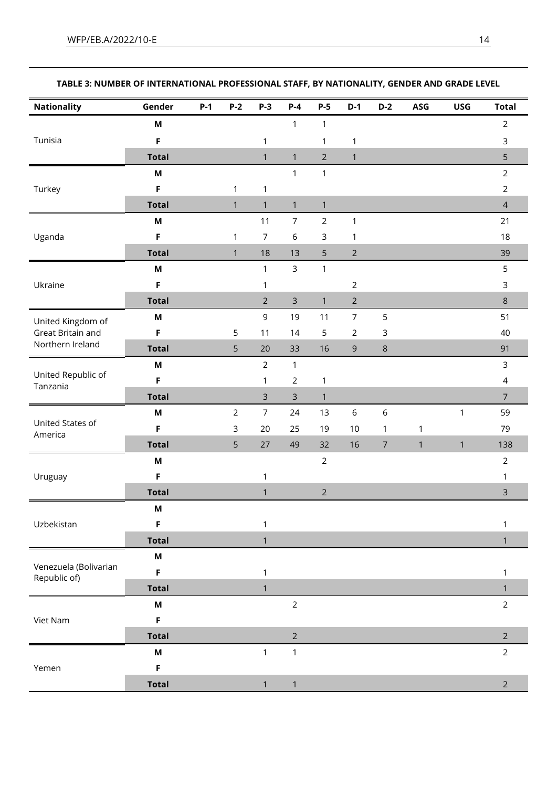| <b>Nationality</b>                    | Gender       | $P-1$ | $P-2$          | $P-3$          | $P-4$          | $P-5$          | $D-1$            | $D-2$          | ASG          | <b>USG</b>   | <b>Total</b>   |
|---------------------------------------|--------------|-------|----------------|----------------|----------------|----------------|------------------|----------------|--------------|--------------|----------------|
|                                       | M            |       |                |                | 1              | $\mathbf{1}$   |                  |                |              |              | $\overline{2}$ |
| Tunisia                               | F            |       |                | 1              |                | 1              | $\mathbf{1}$     |                |              |              | 3              |
|                                       | <b>Total</b> |       |                | $\mathbf{1}$   | $\mathbf{1}$   | $\overline{2}$ | $\mathbf{1}$     |                |              |              | 5              |
|                                       | M            |       |                |                | 1              | $\mathbf{1}$   |                  |                |              |              | $\overline{2}$ |
| Turkey                                | F            |       | $\mathbf{1}$   | $\mathbf 1$    |                |                |                  |                |              |              | $\overline{2}$ |
|                                       | <b>Total</b> |       | $\mathbf{1}$   | $\mathbf{1}$   | $\mathbf{1}$   | $\mathbf{1}$   |                  |                |              |              | $\overline{4}$ |
|                                       | M            |       |                | 11             | $\overline{7}$ | $\overline{2}$ | $\mathbf{1}$     |                |              |              | 21             |
| Uganda                                | F            |       | $\mathbf{1}$   | $\overline{7}$ | 6              | 3              | 1                |                |              |              | 18             |
|                                       | <b>Total</b> |       | $\mathbf{1}$   | 18             | 13             | 5              | $\sqrt{2}$       |                |              |              | 39             |
|                                       | M            |       |                | $\mathbf{1}$   | $\mathsf{3}$   | $\mathbf{1}$   |                  |                |              |              | 5              |
| Ukraine                               | F            |       |                | 1              |                |                | $\overline{2}$   |                |              |              | 3              |
|                                       | <b>Total</b> |       |                | $\overline{2}$ | $\mathsf{3}$   | $\mathbf{1}$   | $\overline{2}$   |                |              |              | 8              |
| United Kingdom of                     | M            |       |                | 9              | 19             | $11$           | $\boldsymbol{7}$ | 5              |              |              | 51             |
| Great Britain and                     | F            |       | 5              | 11             | 14             | 5              | $\overline{2}$   | 3              |              |              | 40             |
| Northern Ireland                      | <b>Total</b> |       | 5              | 20             | 33             | 16             | $\mathsf 9$      | $\,8\,$        |              |              | 91             |
|                                       | M            |       |                | $\overline{2}$ | $\mathbf{1}$   |                |                  |                |              |              | 3              |
| United Republic of<br>Tanzania        | F            |       |                | $\mathbf{1}$   | $\overline{2}$ | $\mathbf{1}$   |                  |                |              |              | $\overline{4}$ |
|                                       | <b>Total</b> |       |                | $\mathsf{3}$   | $\mathsf{3}$   | $\mathbf{1}$   |                  |                |              |              | $\overline{7}$ |
|                                       | M            |       | $\overline{2}$ | $\overline{7}$ | 24             | 13             | $\,$ 6 $\,$      | $\,$ 6 $\,$    |              | $\mathbf{1}$ | 59             |
| United States of<br>America           | F            |       | $\mathsf{3}$   | 20             | 25             | 19             | 10               | 1              | $\mathbf{1}$ |              | 79             |
|                                       | <b>Total</b> |       | 5              | 27             | 49             | 32             | 16               | $\overline{7}$ | $\mathbf{1}$ | $\mathbf{1}$ | 138            |
|                                       | M            |       |                |                |                | $\overline{2}$ |                  |                |              |              | $\overline{2}$ |
| Uruguay                               | F            |       |                | 1              |                |                |                  |                |              |              |                |
|                                       | <b>Total</b> |       |                | $\mathbf{1}$   |                | $\overline{2}$ |                  |                |              |              | $\mathsf{3}$   |
|                                       | M            |       |                |                |                |                |                  |                |              |              |                |
| Uzbekistan                            | F            |       |                | 1              |                |                |                  |                |              |              | 1              |
|                                       | <b>Total</b> |       |                | $\mathbf{1}$   |                |                |                  |                |              |              | 1              |
|                                       | M            |       |                |                |                |                |                  |                |              |              |                |
| Venezuela (Bolivarian<br>Republic of) | F            |       |                | 1              |                |                |                  |                |              |              | 1              |
|                                       | <b>Total</b> |       |                | $\mathbf{1}$   |                |                |                  |                |              |              | $\mathbf{1}$   |
|                                       | M            |       |                |                | $\overline{2}$ |                |                  |                |              |              | $\overline{2}$ |
| Viet Nam                              | F            |       |                |                |                |                |                  |                |              |              |                |
|                                       | <b>Total</b> |       |                |                | $\overline{2}$ |                |                  |                |              |              | $\overline{2}$ |
|                                       | M            |       |                | 1              | 1              |                |                  |                |              |              | $\overline{2}$ |
| Yemen                                 | F            |       |                |                |                |                |                  |                |              |              |                |
|                                       | <b>Total</b> |       |                | $\mathbf{1}$   | $\mathbf{1}$   |                |                  |                |              |              | $\overline{2}$ |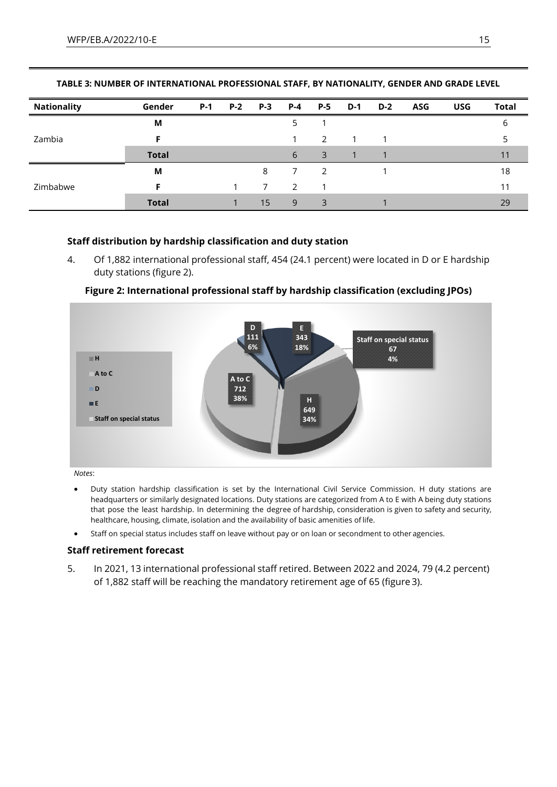| <b>Nationality</b> | Gender       | $P-1$ | P-2 P-3 | $P-4$         | $P-5$ | $D-1$ | $D-2$ | <b>ASG</b> | <b>USG</b> | <b>Total</b> |
|--------------------|--------------|-------|---------|---------------|-------|-------|-------|------------|------------|--------------|
| Zambia             | М            |       |         |               |       |       |       |            |            |              |
|                    |              |       |         |               | 2     |       |       |            |            |              |
|                    | <b>Total</b> |       |         | 6             | 3     |       |       |            |            |              |
| Zimbabwe           | M            |       | 8       |               |       |       |       |            |            | 18           |
|                    |              |       |         | $\mathcal{P}$ |       |       |       |            |            |              |
|                    | <b>Total</b> |       | 15      | 9             | 3     |       |       |            |            | 29           |

### **Staff distribution by hardship classification and duty station**

4. Of 1,882 international professional staff, 454 (24.1 percent) were located in D or E hardship duty stations (figure 2).



### **Figure 2: International professional staff by hardship classification (excluding JPOs)**

*Notes*:

- Duty station hardship classification is set by the International Civil Service Commission. H duty stations are headquarters or similarly designated locations. Duty stations are categorized from A to E with A being duty stations that pose the least hardship. In determining the degree of hardship, consideration is given to safety and security, healthcare, housing, climate, isolation and the availability of basic amenities of life.
- Staff on special status includes staff on leave without pay or on loan or secondment to other agencies.

# **Staff retirement forecast**

5. In 2021, 13 international professional staff retired. Between 2022 and 2024, 79 (4.2 percent) of 1,882 staff will be reaching the mandatory retirement age of 65 (figure 3).